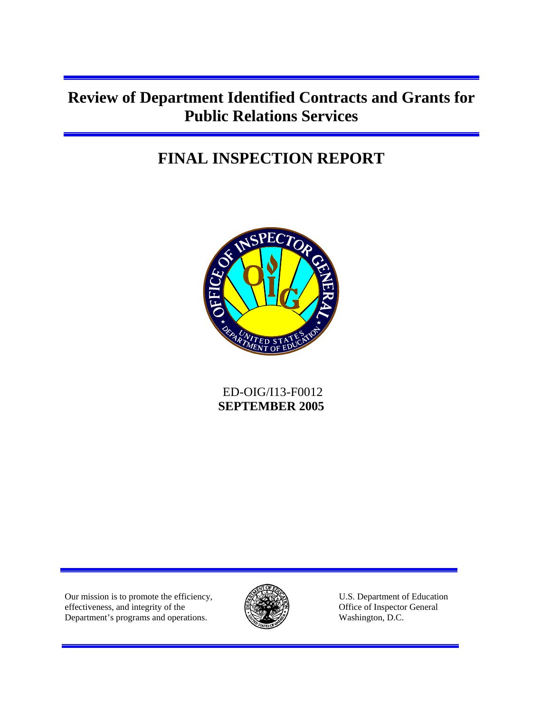# **Review of Department Identified Contracts and Grants for Public Relations Services**

# **FINAL INSPECTION REPORT**



 ED-OIG/I13-F0012 **SEPTEMBER 2005** 

Our mission is to promote the efficiency,  $\mathbb{R}$   $\mathbb{R}$  U.S. Department of Education effectiveness, and integrity of the **EXECUTE:** Office of Inspector General Department's programs and operations. Washington, D.C.

Ī

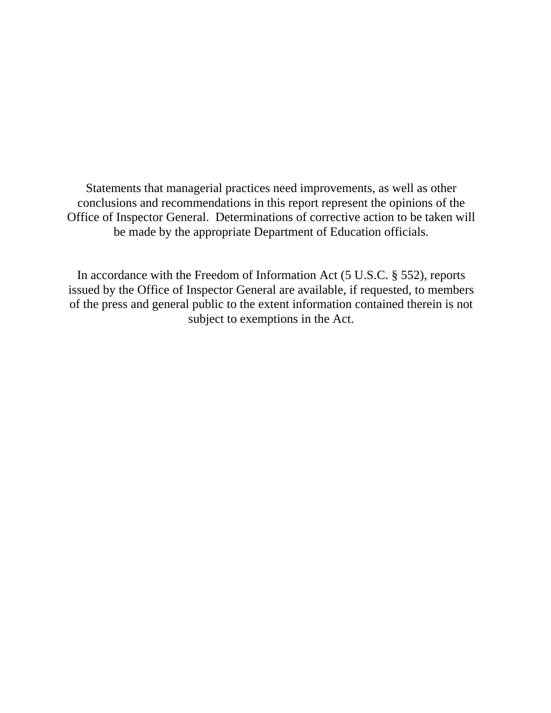Statements that managerial practices need improvements, as well as other conclusions and recommendations in this report represent the opinions of the Office of Inspector General. Determinations of corrective action to be taken will be made by the appropriate Department of Education officials.

In accordance with the Freedom of Information Act (5 U.S.C. § 552), reports issued by the Office of Inspector General are available, if requested, to members of the press and general public to the extent information contained therein is not subject to exemptions in the Act.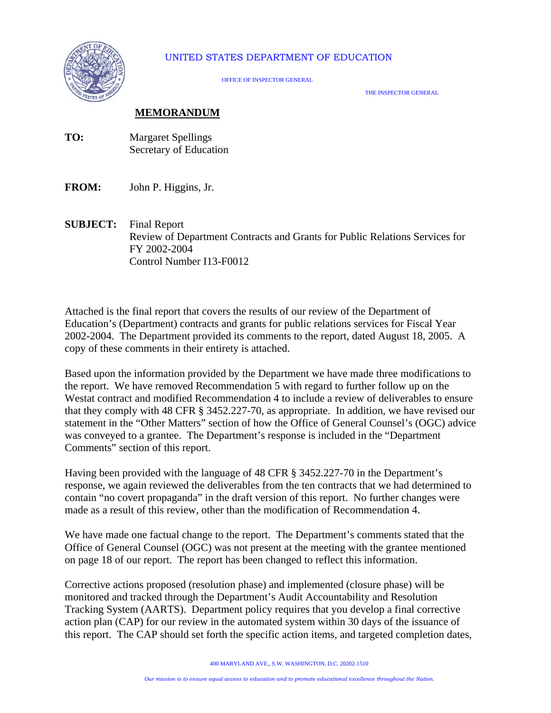

### UNITED STATES DEPARTMENT OF EDUCATION

OFFICE OF INSPECTOR GENERAL

THE INSPECTOR GENERAL

### **MEMORANDUM**

- **TO:** Margaret Spellings Secretary of Education
- **FROM:** John P. Higgins, Jr.
- **SUBJECT:** Final Report Review of Department Contracts and Grants for Public Relations Services for FY 2002-2004 Control Number I13-F0012

Attached is the final report that covers the results of our review of the Department of Education's (Department) contracts and grants for public relations services for Fiscal Year 2002-2004. The Department provided its comments to the report, dated August 18, 2005. A copy of these comments in their entirety is attached.

Based upon the information provided by the Department we have made three modifications to the report. We have removed Recommendation 5 with regard to further follow up on the Westat contract and modified Recommendation 4 to include a review of deliverables to ensure that they comply with 48 CFR § 3452.227-70, as appropriate. In addition, we have revised our statement in the "Other Matters" section of how the Office of General Counsel's (OGC) advice was conveyed to a grantee. The Department's response is included in the "Department Comments" section of this report.

Having been provided with the language of 48 CFR § 3452.227-70 in the Department's response, we again reviewed the deliverables from the ten contracts that we had determined to contain "no covert propaganda" in the draft version of this report. No further changes were made as a result of this review, other than the modification of Recommendation 4.

We have made one factual change to the report. The Department's comments stated that the Office of General Counsel (OGC) was not present at the meeting with the grantee mentioned on page 18 of our report. The report has been changed to reflect this information.

Corrective actions proposed (resolution phase) and implemented (closure phase) will be monitored and tracked through the Department's Audit Accountability and Resolution Tracking System (AARTS). Department policy requires that you develop a final corrective action plan (CAP) for our review in the automated system within 30 days of the issuance of this report. The CAP should set forth the specific action items, and targeted completion dates,

400 MARYLAND AVE., S.W. WASHINGTON, D.C. 20202-1510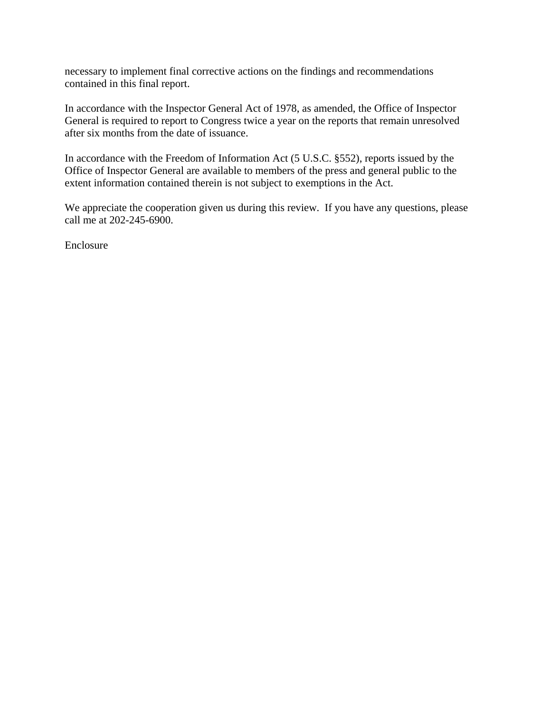necessary to implement final corrective actions on the findings and recommendations contained in this final report.

In accordance with the Inspector General Act of 1978, as amended, the Office of Inspector General is required to report to Congress twice a year on the reports that remain unresolved after six months from the date of issuance.

In accordance with the Freedom of Information Act (5 U.S.C. §552), reports issued by the Office of Inspector General are available to members of the press and general public to the extent information contained therein is not subject to exemptions in the Act.

We appreciate the cooperation given us during this review. If you have any questions, please call me at 202-245-6900.

Enclosure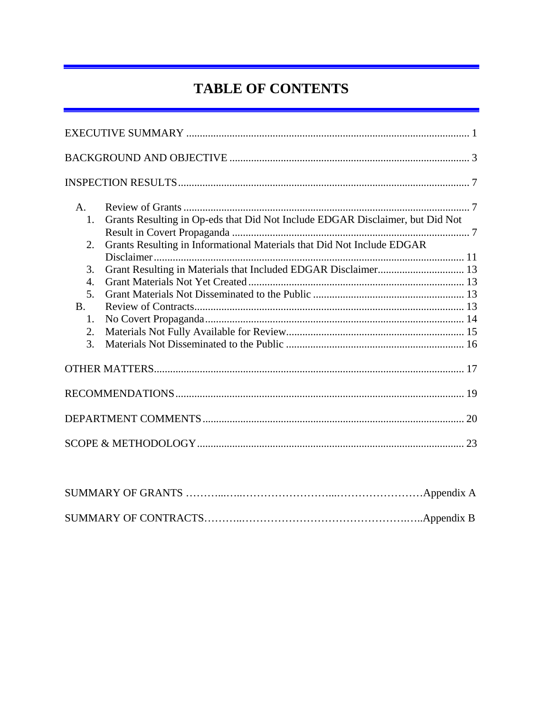# **TABLE OF CONTENTS**

| A <sub>1</sub>   |                                                                               |    |
|------------------|-------------------------------------------------------------------------------|----|
| 1.               | Grants Resulting in Op-eds that Did Not Include EDGAR Disclaimer, but Did Not |    |
| $\overline{2}$ . | Grants Resulting in Informational Materials that Did Not Include EDGAR        |    |
| 3.               | Grant Resulting in Materials that Included EDGAR Disclaimer 13                |    |
| $\overline{4}$ . |                                                                               |    |
| 5.               |                                                                               |    |
| B <sub>1</sub>   |                                                                               |    |
| $\mathbf{1}$ .   |                                                                               |    |
| 2.               |                                                                               |    |
| 3.               |                                                                               |    |
|                  |                                                                               |    |
|                  |                                                                               |    |
|                  |                                                                               |    |
|                  |                                                                               | 20 |
|                  |                                                                               |    |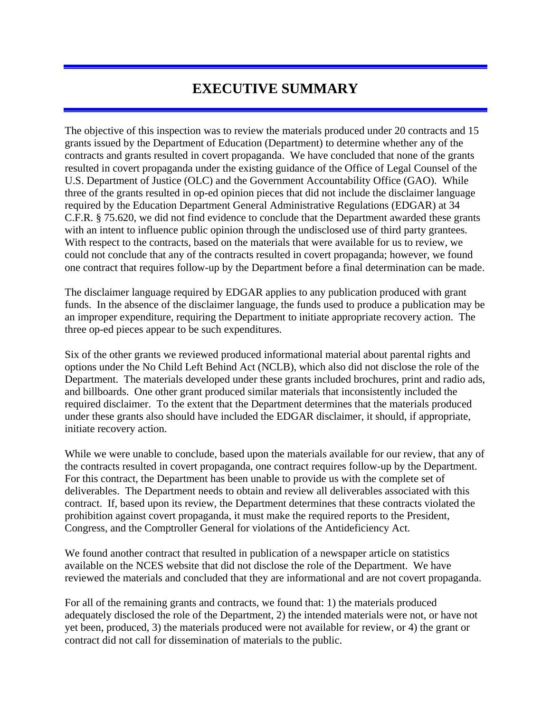## **EXECUTIVE SUMMARY**

The objective of this inspection was to review the materials produced under 20 contracts and 15 grants issued by the Department of Education (Department) to determine whether any of the contracts and grants resulted in covert propaganda. We have concluded that none of the grants resulted in covert propaganda under the existing guidance of the Office of Legal Counsel of the U.S. Department of Justice (OLC) and the Government Accountability Office (GAO). While three of the grants resulted in op-ed opinion pieces that did not include the disclaimer language required by the Education Department General Administrative Regulations (EDGAR) at 34 C.F.R. § 75.620, we did not find evidence to conclude that the Department awarded these grants with an intent to influence public opinion through the undisclosed use of third party grantees. With respect to the contracts, based on the materials that were available for us to review, we could not conclude that any of the contracts resulted in covert propaganda; however, we found one contract that requires follow-up by the Department before a final determination can be made.

The disclaimer language required by EDGAR applies to any publication produced with grant funds. In the absence of the disclaimer language, the funds used to produce a publication may be an improper expenditure, requiring the Department to initiate appropriate recovery action. The three op-ed pieces appear to be such expenditures.

Six of the other grants we reviewed produced informational material about parental rights and options under the No Child Left Behind Act (NCLB), which also did not disclose the role of the Department. The materials developed under these grants included brochures, print and radio ads, and billboards. One other grant produced similar materials that inconsistently included the required disclaimer. To the extent that the Department determines that the materials produced under these grants also should have included the EDGAR disclaimer, it should, if appropriate, initiate recovery action.

While we were unable to conclude, based upon the materials available for our review, that any of the contracts resulted in covert propaganda, one contract requires follow-up by the Department. For this contract, the Department has been unable to provide us with the complete set of deliverables. The Department needs to obtain and review all deliverables associated with this contract. If, based upon its review, the Department determines that these contracts violated the prohibition against covert propaganda, it must make the required reports to the President, Congress, and the Comptroller General for violations of the Antideficiency Act.

We found another contract that resulted in publication of a newspaper article on statistics available on the NCES website that did not disclose the role of the Department. We have reviewed the materials and concluded that they are informational and are not covert propaganda.

For all of the remaining grants and contracts, we found that: 1) the materials produced adequately disclosed the role of the Department, 2) the intended materials were not, or have not yet been, produced, 3) the materials produced were not available for review, or 4) the grant or contract did not call for dissemination of materials to the public.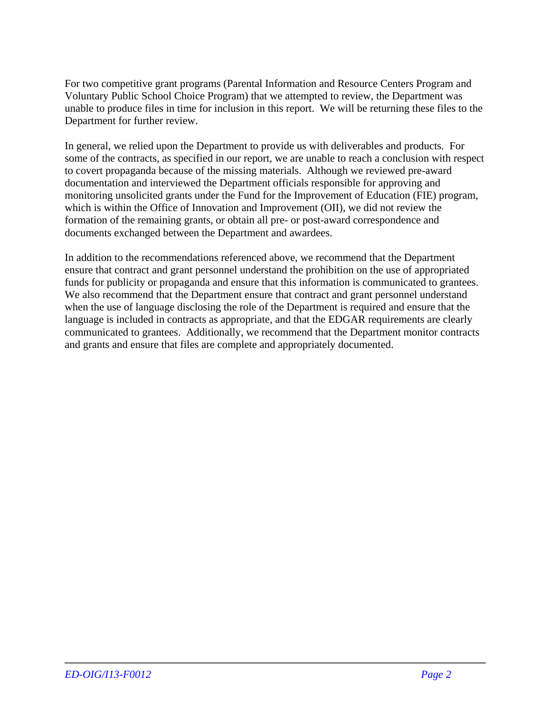For two competitive grant programs (Parental Information and Resource Centers Program and Voluntary Public School Choice Program) that we attempted to review, the Department was unable to produce files in time for inclusion in this report. We will be returning these files to the Department for further review.

In general, we relied upon the Department to provide us with deliverables and products. For some of the contracts, as specified in our report, we are unable to reach a conclusion with respect to covert propaganda because of the missing materials. Although we reviewed pre-award documentation and interviewed the Department officials responsible for approving and monitoring unsolicited grants under the Fund for the Improvement of Education (FIE) program, which is within the Office of Innovation and Improvement (OII), we did not review the formation of the remaining grants, or obtain all pre- or post-award correspondence and documents exchanged between the Department and awardees.

In addition to the recommendations referenced above, we recommend that the Department ensure that contract and grant personnel understand the prohibition on the use of appropriated funds for publicity or propaganda and ensure that this information is communicated to grantees. We also recommend that the Department ensure that contract and grant personnel understand when the use of language disclosing the role of the Department is required and ensure that the language is included in contracts as appropriate, and that the EDGAR requirements are clearly communicated to grantees. Additionally, we recommend that the Department monitor contracts and grants and ensure that files are complete and appropriately documented.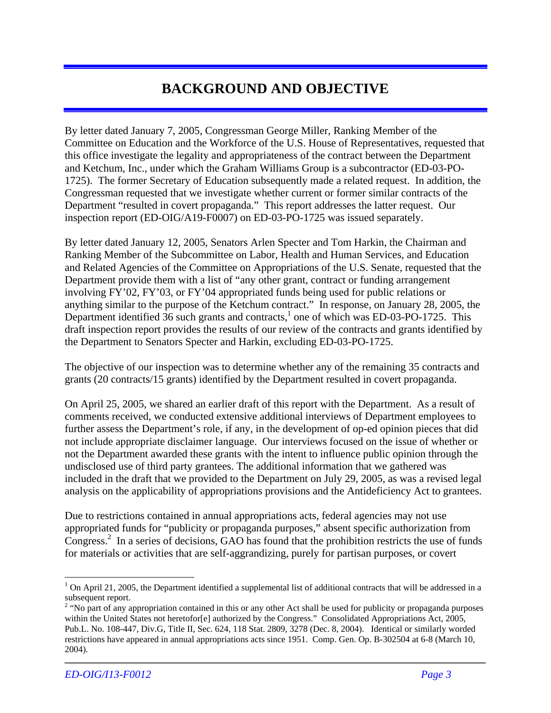## **BACKGROUND AND OBJECTIVE**

By letter dated January 7, 2005, Congressman George Miller, Ranking Member of the Committee on Education and the Workforce of the U.S. House of Representatives, requested that this office investigate the legality and appropriateness of the contract between the Department and Ketchum, Inc., under which the Graham Williams Group is a subcontractor (ED-03-PO-1725). The former Secretary of Education subsequently made a related request. In addition, the Congressman requested that we investigate whether current or former similar contracts of the Department "resulted in covert propaganda." This report addresses the latter request. Our inspection report (ED-OIG/A19-F0007) on ED-03-PO-1725 was issued separately.

By letter dated January 12, 2005, Senators Arlen Specter and Tom Harkin, the Chairman and Ranking Member of the Subcommittee on Labor, Health and Human Services, and Education and Related Agencies of the Committee on Appropriations of the U.S. Senate, requested that the Department provide them with a list of "any other grant, contract or funding arrangement involving FY'02, FY'03, or FY'04 appropriated funds being used for public relations or anything similar to the purpose of the Ketchum contract." In response, on January 28, 2005, the Department identified  $36$  such grants and contracts,<sup>1</sup> one of which was ED-03-PO-1725. This draft inspection report provides the results of our review of the contracts and grants identified by the Department to Senators Specter and Harkin, excluding ED-03-PO-1725.

The objective of our inspection was to determine whether any of the remaining 35 contracts and grants (20 contracts/15 grants) identified by the Department resulted in covert propaganda.

On April 25, 2005, we shared an earlier draft of this report with the Department. As a result of comments received, we conducted extensive additional interviews of Department employees to further assess the Department's role, if any, in the development of op-ed opinion pieces that did not include appropriate disclaimer language. Our interviews focused on the issue of whether or not the Department awarded these grants with the intent to influence public opinion through the undisclosed use of third party grantees. The additional information that we gathered was included in the draft that we provided to the Department on July 29, 2005, as was a revised legal analysis on the applicability of appropriations provisions and the Antideficiency Act to grantees.

Due to restrictions contained in annual appropriations acts, federal agencies may not use appropriated funds for "publicity or propaganda purposes," absent specific authorization from Congress.<sup>2</sup> In a series of decisions, GAO has found that the prohibition restricts the use of funds for materials or activities that are self-aggrandizing, purely for partisan purposes, or covert

<sup>1</sup>  $1$  On April 21, 2005, the Department identified a supplemental list of additional contracts that will be addressed in a subsequent report.

<sup>&</sup>lt;sup>2</sup> "No part of any appropriation contained in this or any other Act shall be used for publicity or propaganda purposes within the United States not heretofor[e] authorized by the Congress." Consolidated Appropriations Act, 2005, Pub.L. No. 108-447, Div.G, Title II, Sec. 624, 118 Stat. 2809, 3278 (Dec. 8, 2004). Identical or similarly worded restrictions have appeared in annual appropriations acts since 1951. Comp. Gen. Op. B-302504 at 6-8 (March 10, 2004).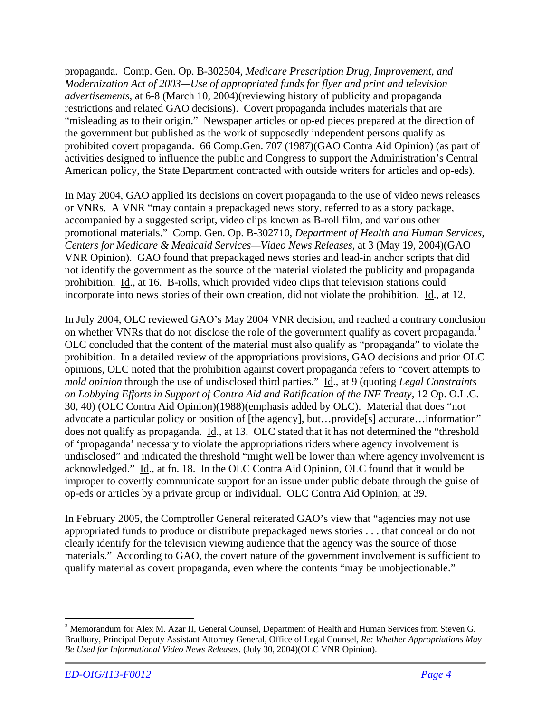propaganda. Comp. Gen. Op. B-302504, *Medicare Prescription Drug, Improvement, and Modernization Act of 2003—Use of appropriated funds for flyer and print and television advertisements*, at 6-8 (March 10, 2004)(reviewing history of publicity and propaganda restrictions and related GAO decisions). Covert propaganda includes materials that are "misleading as to their origin." Newspaper articles or op-ed pieces prepared at the direction of the government but published as the work of supposedly independent persons qualify as prohibited covert propaganda. 66 Comp.Gen. 707 (1987)(GAO Contra Aid Opinion) (as part of activities designed to influence the public and Congress to support the Administration's Central American policy, the State Department contracted with outside writers for articles and op-eds).

In May 2004, GAO applied its decisions on covert propaganda to the use of video news releases or VNRs. A VNR "may contain a prepackaged news story, referred to as a story package, accompanied by a suggested script, video clips known as B-roll film, and various other promotional materials." Comp. Gen. Op. B-302710, *Department of Health and Human Services, Centers for Medicare & Medicaid Services—Video News Releases,* at 3 (May 19, 2004)(GAO VNR Opinion). GAO found that prepackaged news stories and lead-in anchor scripts that did not identify the government as the source of the material violated the publicity and propaganda prohibition. Id., at 16. B-rolls, which provided video clips that television stations could incorporate into news stories of their own creation, did not violate the prohibition. Id., at 12.

In July 2004, OLC reviewed GAO's May 2004 VNR decision, and reached a contrary conclusion on whether VNRs that do not disclose the role of the government qualify as covert propaganda.<sup>3</sup> OLC concluded that the content of the material must also qualify as "propaganda" to violate the prohibition. In a detailed review of the appropriations provisions, GAO decisions and prior OLC opinions, OLC noted that the prohibition against covert propaganda refers to "covert attempts to *mold opinion* through the use of undisclosed third parties." Id., at 9 (quoting *Legal Constraints on Lobbying Efforts in Support of Contra Aid and Ratification of the INF Treaty,* 12 Op. O.L.C. 30, 40) (OLC Contra Aid Opinion)(1988)(emphasis added by OLC). Material that does "not advocate a particular policy or position of [the agency], but...provide<sup>[5]</sup> accurate...information" does not qualify as propaganda. Id., at 13. OLC stated that it has not determined the "threshold of 'propaganda' necessary to violate the appropriations riders where agency involvement is undisclosed" and indicated the threshold "might well be lower than where agency involvement is acknowledged." Id., at fn. 18. In the OLC Contra Aid Opinion, OLC found that it would be improper to covertly communicate support for an issue under public debate through the guise of op-eds or articles by a private group or individual. OLC Contra Aid Opinion, at 39.

In February 2005, the Comptroller General reiterated GAO's view that "agencies may not use appropriated funds to produce or distribute prepackaged news stories . . . that conceal or do not clearly identify for the television viewing audience that the agency was the source of those materials." According to GAO, the covert nature of the government involvement is sufficient to qualify material as covert propaganda, even where the contents "may be unobjectionable."

<u>.</u>

<sup>&</sup>lt;sup>3</sup> Memorandum for Alex M. Azar II, General Counsel, Department of Health and Human Services from Steven G. Bradbury, Principal Deputy Assistant Attorney General, Office of Legal Counsel*, Re: Whether Appropriations May Be Used for Informational Video News Releases.* (July 30, 2004)(OLC VNR Opinion).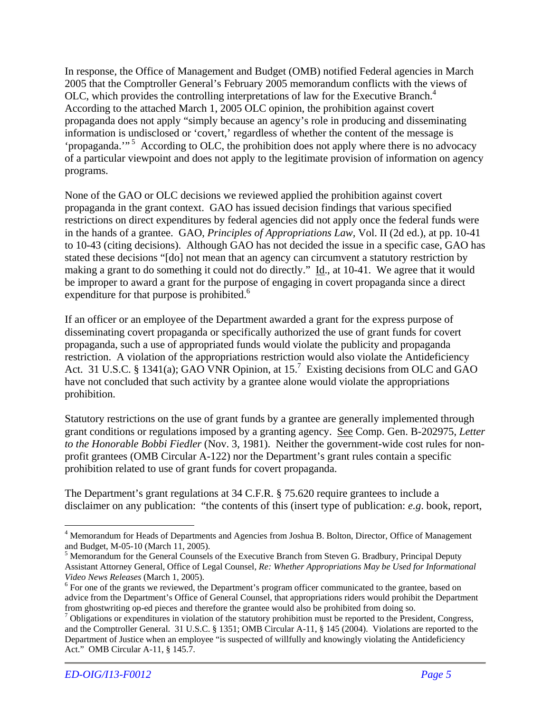In response, the Office of Management and Budget (OMB) notified Federal agencies in March 2005 that the Comptroller General's February 2005 memorandum conflicts with the views of OLC, which provides the controlling interpretations of law for the Executive Branch.<sup>4</sup> According to the attached March 1, 2005 OLC opinion, the prohibition against covert propaganda does not apply "simply because an agency's role in producing and disseminating information is undisclosed or 'covert,' regardless of whether the content of the message is 'propaganda.'"<sup>5</sup> According to OLC, the prohibition does not apply where there is no advocacy of a particular viewpoint and does not apply to the legitimate provision of information on agency programs.

None of the GAO or OLC decisions we reviewed applied the prohibition against covert propaganda in the grant context. GAO has issued decision findings that various specified restrictions on direct expenditures by federal agencies did not apply once the federal funds were in the hands of a grantee. GAO, *Principles of Appropriations Law,* Vol. II (2d ed.), at pp. 10-41 to 10-43 (citing decisions). Although GAO has not decided the issue in a specific case, GAO has stated these decisions "[do] not mean that an agency can circumvent a statutory restriction by making a grant to do something it could not do directly." Id., at 10-41. We agree that it would be improper to award a grant for the purpose of engaging in covert propaganda since a direct expenditure for that purpose is prohibited.<sup>6</sup>

If an officer or an employee of the Department awarded a grant for the express purpose of disseminating covert propaganda or specifically authorized the use of grant funds for covert propaganda, such a use of appropriated funds would violate the publicity and propaganda restriction. A violation of the appropriations restriction would also violate the Antideficiency Act. 31 U.S.C. § 1341(a); GAO VNR Opinion, at 15.<sup>7</sup> Existing decisions from OLC and GAO have not concluded that such activity by a grantee alone would violate the appropriations prohibition.

Statutory restrictions on the use of grant funds by a grantee are generally implemented through grant conditions or regulations imposed by a granting agency. See Comp. Gen. B-202975, *Letter to the Honorable Bobbi Fiedler* (Nov. 3, 1981). Neither the government-wide cost rules for nonprofit grantees (OMB Circular A-122) nor the Department's grant rules contain a specific prohibition related to use of grant funds for covert propaganda.

The Department's grant regulations at 34 C.F.R. § 75.620 require grantees to include a disclaimer on any publication: "the contents of this (insert type of publication: *e.g*. book, report,

 $\overline{a}$ 

<sup>&</sup>lt;sup>4</sup> Memorandum for Heads of Departments and Agencies from Joshua B. Bolton, Director, Office of Management and Budget, M-05-10 (March 11, 2005).

<sup>&</sup>lt;sup>5</sup> Memorandum for the General Counsels of the Executive Branch from Steven G. Bradbury, Principal Deputy Assistant Attorney General, Office of Legal Counsel*, Re: Whether Appropriations May be Used for Informational Video News Releases* (March 1, 2005).

 $6$  For one of the grants we reviewed, the Department's program officer communicated to the grantee, based on advice from the Department's Office of General Counsel, that appropriations riders would prohibit the Department from ghostwriting op-ed pieces and therefore the grantee would also be prohibited from doing so.

 $<sup>7</sup>$  Obligations or expenditures in violation of the statutory prohibition must be reported to the President, Congress,</sup> and the Comptroller General. 31 U.S.C. § 1351; OMB Circular A-11, § 145 (2004). Violations are reported to the Department of Justice when an employee "is suspected of willfully and knowingly violating the Antideficiency Act." OMB Circular A-11, § 145.7.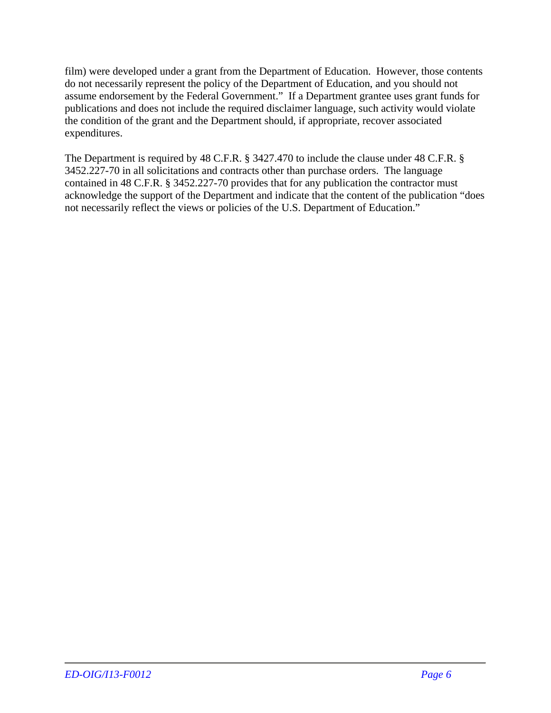film) were developed under a grant from the Department of Education. However, those contents do not necessarily represent the policy of the Department of Education, and you should not assume endorsement by the Federal Government." If a Department grantee uses grant funds for publications and does not include the required disclaimer language, such activity would violate the condition of the grant and the Department should, if appropriate, recover associated expenditures.

The Department is required by 48 C.F.R. § 3427.470 to include the clause under 48 C.F.R. § 3452.227-70 in all solicitations and contracts other than purchase orders. The language contained in 48 C.F.R. § 3452.227-70 provides that for any publication the contractor must acknowledge the support of the Department and indicate that the content of the publication "does not necessarily reflect the views or policies of the U.S. Department of Education."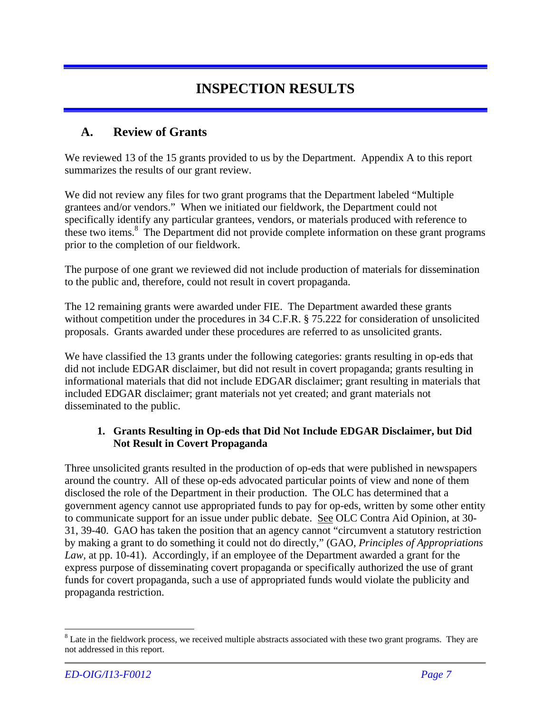## **INSPECTION RESULTS**

### **A. Review of Grants**

We reviewed 13 of the 15 grants provided to us by the Department. Appendix A to this report summarizes the results of our grant review.

We did not review any files for two grant programs that the Department labeled "Multiple grantees and/or vendors." When we initiated our fieldwork, the Department could not specifically identify any particular grantees, vendors, or materials produced with reference to these two items.<sup>8</sup> The Department did not provide complete information on these grant programs prior to the completion of our fieldwork.

The purpose of one grant we reviewed did not include production of materials for dissemination to the public and, therefore, could not result in covert propaganda.

The 12 remaining grants were awarded under FIE. The Department awarded these grants without competition under the procedures in 34 C.F.R. § 75.222 for consideration of unsolicited proposals. Grants awarded under these procedures are referred to as unsolicited grants.

We have classified the 13 grants under the following categories: grants resulting in op-eds that did not include EDGAR disclaimer, but did not result in covert propaganda; grants resulting in informational materials that did not include EDGAR disclaimer; grant resulting in materials that included EDGAR disclaimer; grant materials not yet created; and grant materials not disseminated to the public.

### **1. Grants Resulting in Op-eds that Did Not Include EDGAR Disclaimer, but Did Not Result in Covert Propaganda**

Three unsolicited grants resulted in the production of op-eds that were published in newspapers around the country. All of these op-eds advocated particular points of view and none of them disclosed the role of the Department in their production. The OLC has determined that a government agency cannot use appropriated funds to pay for op-eds, written by some other entity to communicate support for an issue under public debate. See OLC Contra Aid Opinion, at 30- 31, 39-40. GAO has taken the position that an agency cannot "circumvent a statutory restriction by making a grant to do something it could not do directly," (GAO, *Principles of Appropriations Law,* at pp. 10-41). Accordingly, if an employee of the Department awarded a grant for the express purpose of disseminating covert propaganda or specifically authorized the use of grant funds for covert propaganda, such a use of appropriated funds would violate the publicity and propaganda restriction.

 $\overline{a}$ 

 $8$  Late in the fieldwork process, we received multiple abstracts associated with these two grant programs. They are not addressed in this report.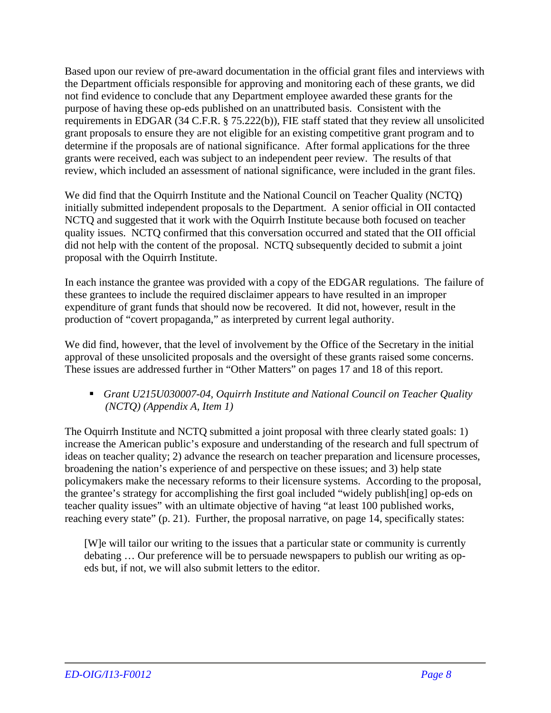Based upon our review of pre-award documentation in the official grant files and interviews with the Department officials responsible for approving and monitoring each of these grants, we did not find evidence to conclude that any Department employee awarded these grants for the purpose of having these op-eds published on an unattributed basis. Consistent with the requirements in EDGAR (34 C.F.R. § 75.222(b)), FIE staff stated that they review all unsolicited grant proposals to ensure they are not eligible for an existing competitive grant program and to determine if the proposals are of national significance. After formal applications for the three grants were received, each was subject to an independent peer review. The results of that review, which included an assessment of national significance, were included in the grant files.

We did find that the Oquirrh Institute and the National Council on Teacher Quality (NCTQ) initially submitted independent proposals to the Department. A senior official in OII contacted NCTQ and suggested that it work with the Oquirrh Institute because both focused on teacher quality issues. NCTQ confirmed that this conversation occurred and stated that the OII official did not help with the content of the proposal. NCTQ subsequently decided to submit a joint proposal with the Oquirrh Institute.

In each instance the grantee was provided with a copy of the EDGAR regulations. The failure of these grantees to include the required disclaimer appears to have resulted in an improper expenditure of grant funds that should now be recovered. It did not, however, result in the production of "covert propaganda," as interpreted by current legal authority.

We did find, however, that the level of involvement by the Office of the Secretary in the initial approval of these unsolicited proposals and the oversight of these grants raised some concerns. These issues are addressed further in "Other Matters" on pages 17 and 18 of this report.

 *Grant U215U030007-04, Oquirrh Institute and National Council on Teacher Quality (NCTQ) (Appendix A, Item 1)* 

The Oquirrh Institute and NCTQ submitted a joint proposal with three clearly stated goals: 1) increase the American public's exposure and understanding of the research and full spectrum of ideas on teacher quality; 2) advance the research on teacher preparation and licensure processes, broadening the nation's experience of and perspective on these issues; and 3) help state policymakers make the necessary reforms to their licensure systems. According to the proposal, the grantee's strategy for accomplishing the first goal included "widely publish[ing] op-eds on teacher quality issues" with an ultimate objective of having "at least 100 published works, reaching every state" (p. 21). Further, the proposal narrative, on page 14, specifically states:

[W]e will tailor our writing to the issues that a particular state or community is currently debating … Our preference will be to persuade newspapers to publish our writing as opeds but, if not, we will also submit letters to the editor.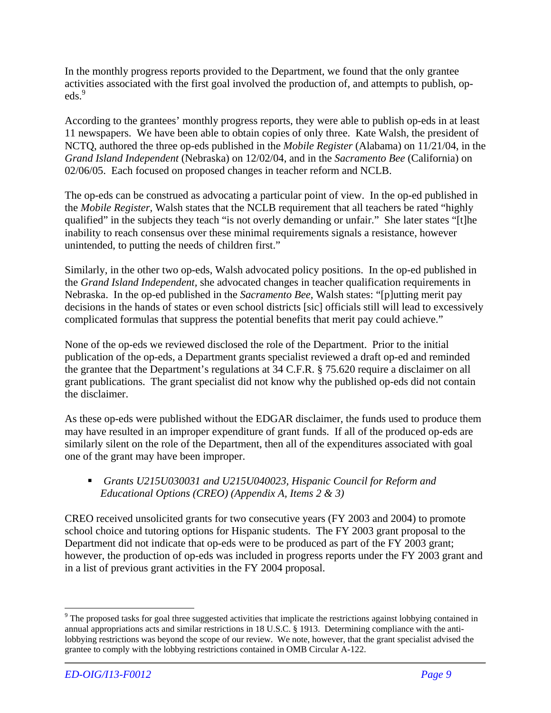In the monthly progress reports provided to the Department, we found that the only grantee activities associated with the first goal involved the production of, and attempts to publish, opeds.<sup>9</sup>

According to the grantees' monthly progress reports, they were able to publish op-eds in at least 11 newspapers. We have been able to obtain copies of only three. Kate Walsh, the president of NCTQ, authored the three op-eds published in the *Mobile Register* (Alabama) on 11/21/04, in the *Grand Island Independent* (Nebraska) on 12/02/04, and in the *Sacramento Bee* (California) on 02/06/05. Each focused on proposed changes in teacher reform and NCLB.

The op-eds can be construed as advocating a particular point of view. In the op-ed published in the *Mobile Register,* Walsh states that the NCLB requirement that all teachers be rated "highly qualified" in the subjects they teach "is not overly demanding or unfair." She later states "[t]he inability to reach consensus over these minimal requirements signals a resistance, however unintended, to putting the needs of children first."

Similarly, in the other two op-eds, Walsh advocated policy positions. In the op-ed published in the *Grand Island Independent,* she advocated changes in teacher qualification requirements in Nebraska. In the op-ed published in the *Sacramento Bee,* Walsh states: "[p]utting merit pay decisions in the hands of states or even school districts [sic] officials still will lead to excessively complicated formulas that suppress the potential benefits that merit pay could achieve."

None of the op-eds we reviewed disclosed the role of the Department. Prior to the initial publication of the op-eds, a Department grants specialist reviewed a draft op-ed and reminded the grantee that the Department's regulations at 34 C.F.R. § 75.620 require a disclaimer on all grant publications. The grant specialist did not know why the published op-eds did not contain the disclaimer.

As these op-eds were published without the EDGAR disclaimer, the funds used to produce them may have resulted in an improper expenditure of grant funds. If all of the produced op-eds are similarly silent on the role of the Department, then all of the expenditures associated with goal one of the grant may have been improper.

 *Grants U215U030031 and U215U040023, Hispanic Council for Reform and Educational Options (CREO) (Appendix A, Items 2 & 3)* 

CREO received unsolicited grants for two consecutive years (FY 2003 and 2004) to promote school choice and tutoring options for Hispanic students. The FY 2003 grant proposal to the Department did not indicate that op-eds were to be produced as part of the FY 2003 grant; however, the production of op-eds was included in progress reports under the FY 2003 grant and in a list of previous grant activities in the FY 2004 proposal.

 $\overline{a}$ 

 $9$  The proposed tasks for goal three suggested activities that implicate the restrictions against lobbying contained in annual appropriations acts and similar restrictions in 18 U.S.C. § 1913. Determining compliance with the antilobbying restrictions was beyond the scope of our review. We note, however, that the grant specialist advised the grantee to comply with the lobbying restrictions contained in OMB Circular A-122.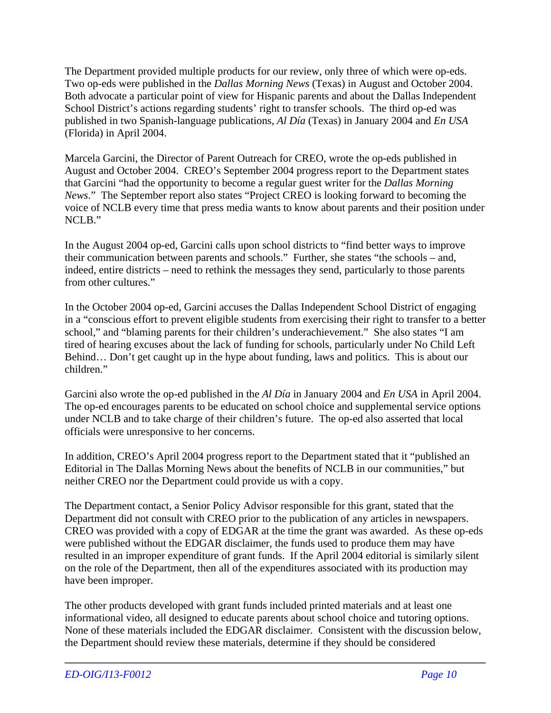The Department provided multiple products for our review, only three of which were op-eds. Two op-eds were published in the *Dallas Morning News* (Texas) in August and October 2004. Both advocate a particular point of view for Hispanic parents and about the Dallas Independent School District's actions regarding students' right to transfer schools. The third op-ed was published in two Spanish-language publications, *Al Día* (Texas) in January 2004 and *En USA* (Florida) in April 2004.

Marcela Garcini, the Director of Parent Outreach for CREO, wrote the op-eds published in August and October 2004. CREO's September 2004 progress report to the Department states that Garcini "had the opportunity to become a regular guest writer for the *Dallas Morning News*." The September report also states "Project CREO is looking forward to becoming the voice of NCLB every time that press media wants to know about parents and their position under NCLB."

In the August 2004 op-ed, Garcini calls upon school districts to "find better ways to improve their communication between parents and schools." Further, she states "the schools – and, indeed, entire districts – need to rethink the messages they send, particularly to those parents from other cultures."

In the October 2004 op-ed, Garcini accuses the Dallas Independent School District of engaging in a "conscious effort to prevent eligible students from exercising their right to transfer to a better school," and "blaming parents for their children's underachievement." She also states "I am tired of hearing excuses about the lack of funding for schools, particularly under No Child Left Behind… Don't get caught up in the hype about funding, laws and politics. This is about our children."

Garcini also wrote the op-ed published in the *Al Día* in January 2004 and *En USA* in April 2004. The op-ed encourages parents to be educated on school choice and supplemental service options under NCLB and to take charge of their children's future. The op-ed also asserted that local officials were unresponsive to her concerns.

In addition, CREO's April 2004 progress report to the Department stated that it "published an Editorial in The Dallas Morning News about the benefits of NCLB in our communities," but neither CREO nor the Department could provide us with a copy.

The Department contact, a Senior Policy Advisor responsible for this grant, stated that the Department did not consult with CREO prior to the publication of any articles in newspapers. CREO was provided with a copy of EDGAR at the time the grant was awarded. As these op-eds were published without the EDGAR disclaimer, the funds used to produce them may have resulted in an improper expenditure of grant funds. If the April 2004 editorial is similarly silent on the role of the Department, then all of the expenditures associated with its production may have been improper.

The other products developed with grant funds included printed materials and at least one informational video, all designed to educate parents about school choice and tutoring options. None of these materials included the EDGAR disclaimer. Consistent with the discussion below, the Department should review these materials, determine if they should be considered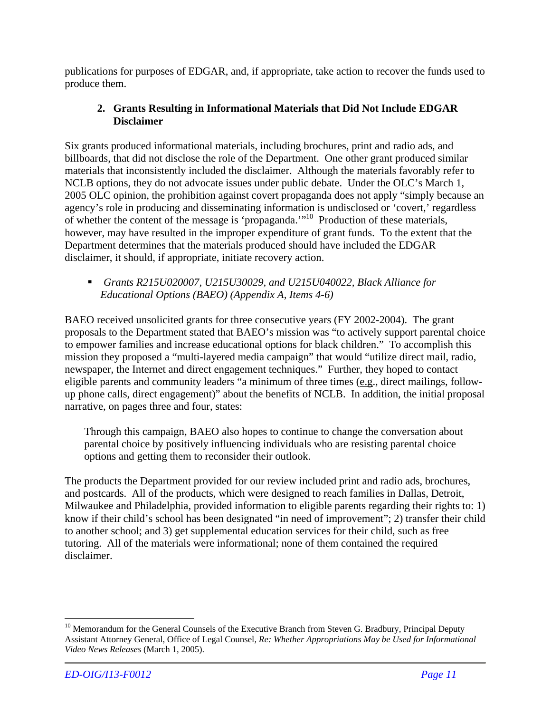publications for purposes of EDGAR, and, if appropriate, take action to recover the funds used to produce them.

### **2. Grants Resulting in Informational Materials that Did Not Include EDGAR Disclaimer**

Six grants produced informational materials, including brochures, print and radio ads, and billboards, that did not disclose the role of the Department. One other grant produced similar materials that inconsistently included the disclaimer. Although the materials favorably refer to NCLB options, they do not advocate issues under public debate. Under the OLC's March 1, 2005 OLC opinion, the prohibition against covert propaganda does not apply "simply because an agency's role in producing and disseminating information is undisclosed or 'covert,' regardless of whether the content of the message is 'propaganda.'"<sup>10</sup> Production of these materials, however, may have resulted in the improper expenditure of grant funds. To the extent that the Department determines that the materials produced should have included the EDGAR disclaimer, it should, if appropriate, initiate recovery action.

### *Grants R215U020007, U215U30029, and U215U040022, Black Alliance for Educational Options (BAEO) (Appendix A, Items 4-6)*

BAEO received unsolicited grants for three consecutive years (FY 2002-2004). The grant proposals to the Department stated that BAEO's mission was "to actively support parental choice to empower families and increase educational options for black children." To accomplish this mission they proposed a "multi-layered media campaign" that would "utilize direct mail, radio, newspaper, the Internet and direct engagement techniques." Further, they hoped to contact eligible parents and community leaders "a minimum of three times (e.g., direct mailings, followup phone calls, direct engagement)" about the benefits of NCLB. In addition, the initial proposal narrative, on pages three and four, states:

Through this campaign, BAEO also hopes to continue to change the conversation about parental choice by positively influencing individuals who are resisting parental choice options and getting them to reconsider their outlook.

The products the Department provided for our review included print and radio ads, brochures, and postcards. All of the products, which were designed to reach families in Dallas, Detroit, Milwaukee and Philadelphia, provided information to eligible parents regarding their rights to: 1) know if their child's school has been designated "in need of improvement"; 2) transfer their child to another school; and 3) get supplemental education services for their child, such as free tutoring. All of the materials were informational; none of them contained the required disclaimer.

 $\overline{a}$ 

<sup>&</sup>lt;sup>10</sup> Memorandum for the General Counsels of the Executive Branch from Steven G. Bradbury, Principal Deputy Assistant Attorney General, Office of Legal Counsel*, Re: Whether Appropriations May be Used for Informational Video News Releases* (March 1, 2005).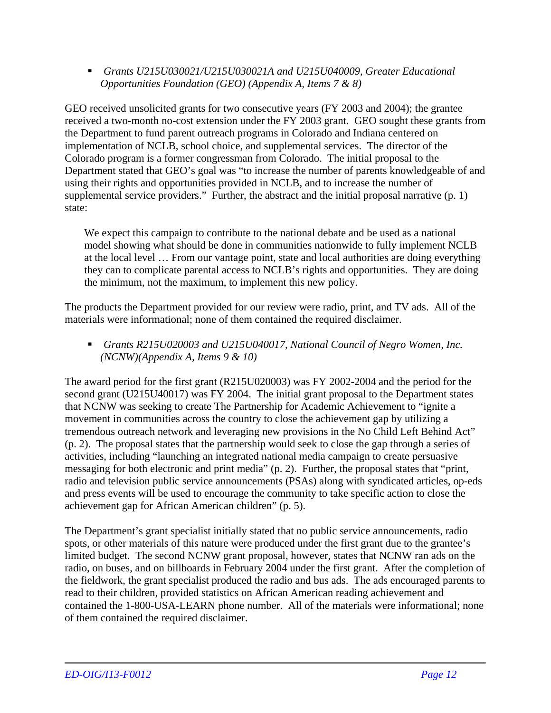*Grants U215U030021/U215U030021A and U215U040009, Greater Educational Opportunities Foundation (GEO) (Appendix A, Items 7 & 8)* 

GEO received unsolicited grants for two consecutive years (FY 2003 and 2004); the grantee received a two-month no-cost extension under the FY 2003 grant. GEO sought these grants from the Department to fund parent outreach programs in Colorado and Indiana centered on implementation of NCLB, school choice, and supplemental services. The director of the Colorado program is a former congressman from Colorado. The initial proposal to the Department stated that GEO's goal was "to increase the number of parents knowledgeable of and using their rights and opportunities provided in NCLB, and to increase the number of supplemental service providers." Further, the abstract and the initial proposal narrative (p. 1) state:

We expect this campaign to contribute to the national debate and be used as a national model showing what should be done in communities nationwide to fully implement NCLB at the local level … From our vantage point, state and local authorities are doing everything they can to complicate parental access to NCLB's rights and opportunities. They are doing the minimum, not the maximum, to implement this new policy.

The products the Department provided for our review were radio, print, and TV ads. All of the materials were informational; none of them contained the required disclaimer.

 *Grants R215U020003 and U215U040017, National Council of Negro Women, Inc. (NCNW)(Appendix A, Items 9 & 10)* 

The award period for the first grant (R215U020003) was FY 2002-2004 and the period for the second grant (U215U40017) was FY 2004. The initial grant proposal to the Department states that NCNW was seeking to create The Partnership for Academic Achievement to "ignite a movement in communities across the country to close the achievement gap by utilizing a tremendous outreach network and leveraging new provisions in the No Child Left Behind Act" (p. 2). The proposal states that the partnership would seek to close the gap through a series of activities, including "launching an integrated national media campaign to create persuasive messaging for both electronic and print media" (p. 2). Further, the proposal states that "print, radio and television public service announcements (PSAs) along with syndicated articles, op-eds and press events will be used to encourage the community to take specific action to close the achievement gap for African American children" (p. 5).

The Department's grant specialist initially stated that no public service announcements, radio spots, or other materials of this nature were produced under the first grant due to the grantee's limited budget. The second NCNW grant proposal, however, states that NCNW ran ads on the radio, on buses, and on billboards in February 2004 under the first grant. After the completion of the fieldwork, the grant specialist produced the radio and bus ads. The ads encouraged parents to read to their children, provided statistics on African American reading achievement and contained the 1-800-USA-LEARN phone number. All of the materials were informational; none of them contained the required disclaimer.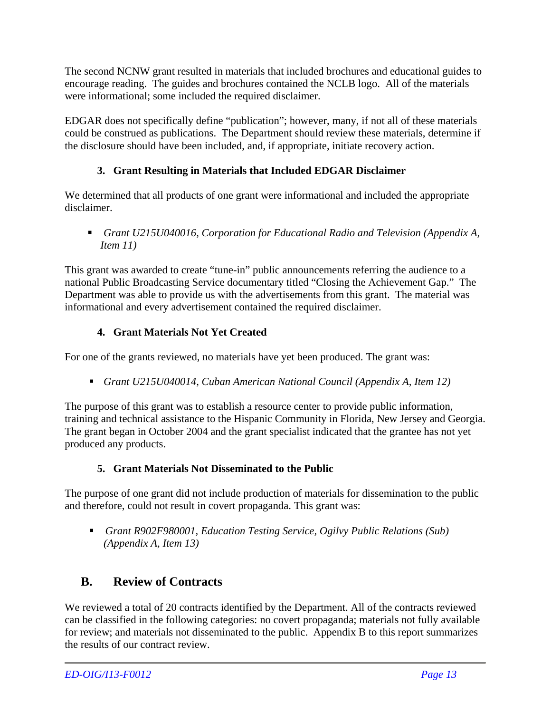The second NCNW grant resulted in materials that included brochures and educational guides to encourage reading. The guides and brochures contained the NCLB logo. All of the materials were informational; some included the required disclaimer.

EDGAR does not specifically define "publication"; however, many, if not all of these materials could be construed as publications. The Department should review these materials, determine if the disclosure should have been included, and, if appropriate, initiate recovery action.

### **3. Grant Resulting in Materials that Included EDGAR Disclaimer**

We determined that all products of one grant were informational and included the appropriate disclaimer.

 *Grant U215U040016, Corporation for Educational Radio and Television (Appendix A, Item 11)*

This grant was awarded to create "tune-in" public announcements referring the audience to a national Public Broadcasting Service documentary titled "Closing the Achievement Gap." The Department was able to provide us with the advertisements from this grant. The material was informational and every advertisement contained the required disclaimer.

### **4. Grant Materials Not Yet Created**

For one of the grants reviewed, no materials have yet been produced. The grant was:

*Grant U215U040014, Cuban American National Council (Appendix A, Item 12)*

The purpose of this grant was to establish a resource center to provide public information, training and technical assistance to the Hispanic Community in Florida, New Jersey and Georgia. The grant began in October 2004 and the grant specialist indicated that the grantee has not yet produced any products.

### **5. Grant Materials Not Disseminated to the Public**

The purpose of one grant did not include production of materials for dissemination to the public and therefore, could not result in covert propaganda. This grant was:

 *Grant R902F980001, Education Testing Service, Ogilvy Public Relations (Sub) (Appendix A, Item 13)* 

### **B. Review of Contracts**

We reviewed a total of 20 contracts identified by the Department. All of the contracts reviewed can be classified in the following categories: no covert propaganda; materials not fully available for review; and materials not disseminated to the public. Appendix B to this report summarizes the results of our contract review.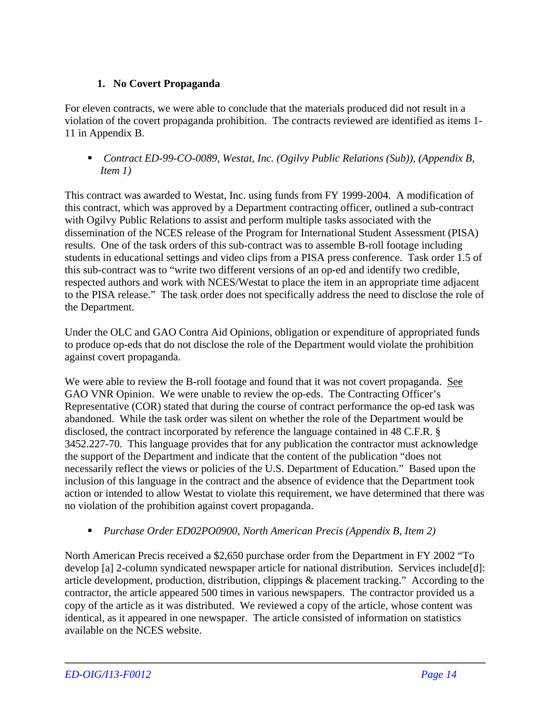### **1. No Covert Propaganda**

For eleven contracts, we were able to conclude that the materials produced did not result in a violation of the covert propaganda prohibition. The contracts reviewed are identified as items 1- 11 in Appendix B.

■ *Contract ED-99-CO-0089, Westat, Inc. (Ogilvy Public Relations (Sub)), (Appendix B, Item 1)* 

This contract was awarded to Westat, Inc. using funds from FY 1999-2004. A modification of this contract, which was approved by a Department contracting officer, outlined a sub-contract with Ogilvy Public Relations to assist and perform multiple tasks associated with the dissemination of the NCES release of the Program for International Student Assessment (PISA) results. One of the task orders of this sub-contract was to assemble B-roll footage including students in educational settings and video clips from a PISA press conference. Task order 1.5 of this sub-contract was to "write two different versions of an op-ed and identify two credible, respected authors and work with NCES/Westat to place the item in an appropriate time adjacent to the PISA release." The task order does not specifically address the need to disclose the role of the Department.

Under the OLC and GAO Contra Aid Opinions, obligation or expenditure of appropriated funds to produce op-eds that do not disclose the role of the Department would violate the prohibition against covert propaganda.

We were able to review the B-roll footage and found that it was not covert propaganda. See GAO VNR Opinion. We were unable to review the op-eds. The Contracting Officer's Representative (COR) stated that during the course of contract performance the op-ed task was abandoned. While the task order was silent on whether the role of the Department would be disclosed, the contract incorporated by reference the language contained in 48 C.F.R. § 3452.227-70. This language provides that for any publication the contractor must acknowledge the support of the Department and indicate that the content of the publication "does not necessarily reflect the views or policies of the U.S. Department of Education." Based upon the inclusion of this language in the contract and the absence of evidence that the Department took action or intended to allow Westat to violate this requirement, we have determined that there was no violation of the prohibition against covert propaganda.

### *Purchase Order ED02PO0900, North American Precis (Appendix B, Item 2)*

North American Precis received a \$2,650 purchase order from the Department in FY 2002 "To develop [a] 2-column syndicated newspaper article for national distribution. Services include[d]: article development, production, distribution, clippings & placement tracking." According to the contractor, the article appeared 500 times in various newspapers. The contractor provided us a copy of the article as it was distributed. We reviewed a copy of the article, whose content was identical, as it appeared in one newspaper. The article consisted of information on statistics available on the NCES website.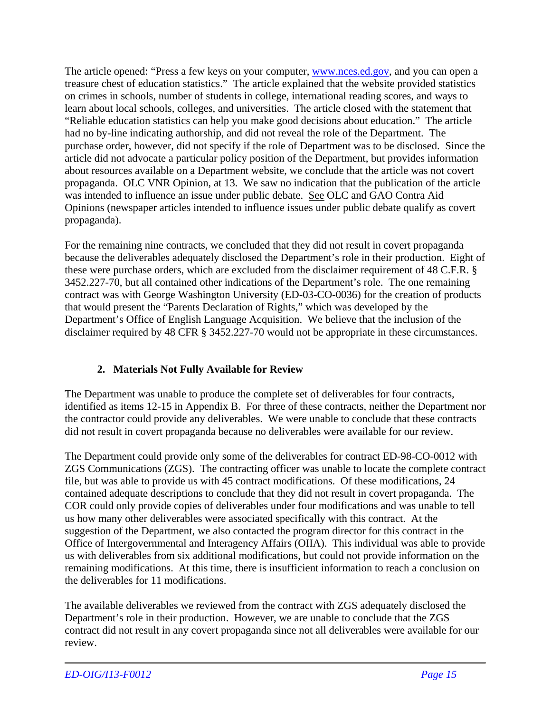The article opened: "Press a few keys on your computer, www.nces.ed.gov, and you can open a treasure chest of education statistics." The article explained that the website provided statistics on crimes in schools, number of students in college, international reading scores, and ways to learn about local schools, colleges, and universities. The article closed with the statement that "Reliable education statistics can help you make good decisions about education." The article had no by-line indicating authorship, and did not reveal the role of the Department. The purchase order, however, did not specify if the role of Department was to be disclosed. Since the article did not advocate a particular policy position of the Department, but provides information about resources available on a Department website, we conclude that the article was not covert propaganda. OLC VNR Opinion, at 13. We saw no indication that the publication of the article was intended to influence an issue under public debate. See OLC and GAO Contra Aid Opinions (newspaper articles intended to influence issues under public debate qualify as covert propaganda).

For the remaining nine contracts, we concluded that they did not result in covert propaganda because the deliverables adequately disclosed the Department's role in their production. Eight of these were purchase orders, which are excluded from the disclaimer requirement of 48 C.F.R. § 3452.227-70, but all contained other indications of the Department's role. The one remaining contract was with George Washington University (ED-03-CO-0036) for the creation of products that would present the "Parents Declaration of Rights," which was developed by the Department's Office of English Language Acquisition. We believe that the inclusion of the disclaimer required by 48 CFR § 3452.227-70 would not be appropriate in these circumstances.

### **2. Materials Not Fully Available for Review**

The Department was unable to produce the complete set of deliverables for four contracts, identified as items 12-15 in Appendix B. For three of these contracts, neither the Department nor the contractor could provide any deliverables. We were unable to conclude that these contracts did not result in covert propaganda because no deliverables were available for our review.

The Department could provide only some of the deliverables for contract ED-98-CO-0012 with ZGS Communications (ZGS). The contracting officer was unable to locate the complete contract file, but was able to provide us with 45 contract modifications. Of these modifications, 24 contained adequate descriptions to conclude that they did not result in covert propaganda. The COR could only provide copies of deliverables under four modifications and was unable to tell us how many other deliverables were associated specifically with this contract. At the suggestion of the Department, we also contacted the program director for this contract in the Office of Intergovernmental and Interagency Affairs (OIIA). This individual was able to provide us with deliverables from six additional modifications, but could not provide information on the remaining modifications. At this time, there is insufficient information to reach a conclusion on the deliverables for 11 modifications.

The available deliverables we reviewed from the contract with ZGS adequately disclosed the Department's role in their production. However, we are unable to conclude that the ZGS contract did not result in any covert propaganda since not all deliverables were available for our review.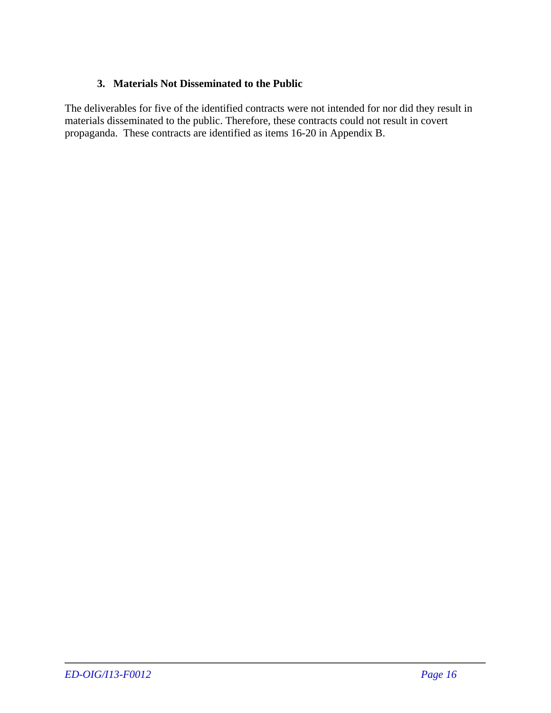### **3. Materials Not Disseminated to the Public**

The deliverables for five of the identified contracts were not intended for nor did they result in materials disseminated to the public. Therefore, these contracts could not result in covert propaganda. These contracts are identified as items 16-20 in Appendix B.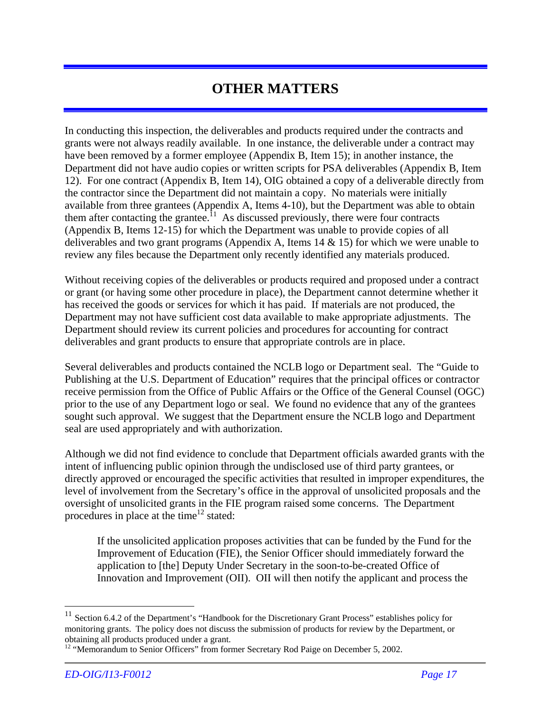## **OTHER MATTERS**

In conducting this inspection, the deliverables and products required under the contracts and grants were not always readily available. In one instance, the deliverable under a contract may have been removed by a former employee (Appendix B, Item 15); in another instance, the Department did not have audio copies or written scripts for PSA deliverables (Appendix B, Item 12). For one contract (Appendix B, Item 14), OIG obtained a copy of a deliverable directly from the contractor since the Department did not maintain a copy. No materials were initially available from three grantees (Appendix A, Items 4-10), but the Department was able to obtain them after contacting the grantee.<sup>11</sup> As discussed previously, there were four contracts (Appendix B, Items 12-15) for which the Department was unable to provide copies of all deliverables and two grant programs (Appendix A, Items 14 & 15) for which we were unable to review any files because the Department only recently identified any materials produced.

Without receiving copies of the deliverables or products required and proposed under a contract or grant (or having some other procedure in place), the Department cannot determine whether it has received the goods or services for which it has paid. If materials are not produced, the Department may not have sufficient cost data available to make appropriate adjustments. The Department should review its current policies and procedures for accounting for contract deliverables and grant products to ensure that appropriate controls are in place.

Several deliverables and products contained the NCLB logo or Department seal. The "Guide to Publishing at the U.S. Department of Education" requires that the principal offices or contractor receive permission from the Office of Public Affairs or the Office of the General Counsel (OGC) prior to the use of any Department logo or seal. We found no evidence that any of the grantees sought such approval. We suggest that the Department ensure the NCLB logo and Department seal are used appropriately and with authorization.

Although we did not find evidence to conclude that Department officials awarded grants with the intent of influencing public opinion through the undisclosed use of third party grantees, or directly approved or encouraged the specific activities that resulted in improper expenditures, the level of involvement from the Secretary's office in the approval of unsolicited proposals and the oversight of unsolicited grants in the FIE program raised some concerns. The Department procedures in place at the time<sup>12</sup> stated:

If the unsolicited application proposes activities that can be funded by the Fund for the Improvement of Education (FIE), the Senior Officer should immediately forward the application to [the] Deputy Under Secretary in the soon-to-be-created Office of Innovation and Improvement (OII). OII will then notify the applicant and process the

 $\overline{a}$ 

<sup>&</sup>lt;sup>11</sup> Section 6.4.2 of the Department's "Handbook for the Discretionary Grant Process" establishes policy for monitoring grants. The policy does not discuss the submission of products for review by the Department, or obtaining all products produced under a grant.

<sup>&</sup>lt;sup>12</sup> "Memorandum to Senior Officers" from former Secretary Rod Paige on December 5, 2002.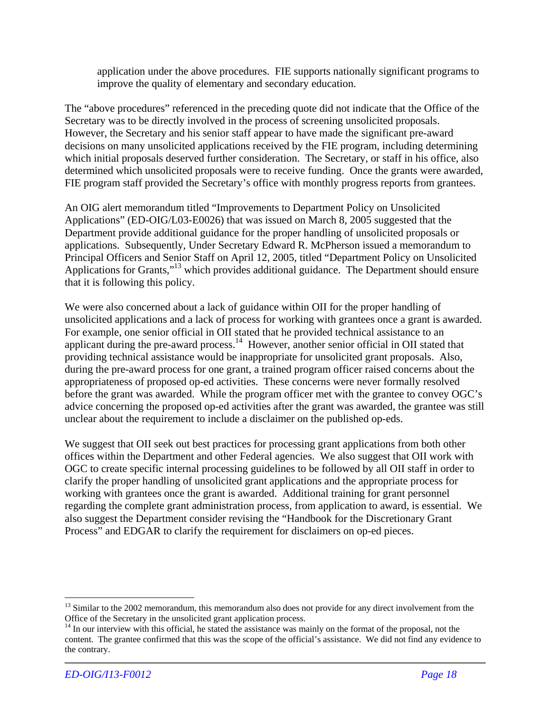application under the above procedures. FIE supports nationally significant programs to improve the quality of elementary and secondary education.

The "above procedures" referenced in the preceding quote did not indicate that the Office of the Secretary was to be directly involved in the process of screening unsolicited proposals. However, the Secretary and his senior staff appear to have made the significant pre-award decisions on many unsolicited applications received by the FIE program, including determining which initial proposals deserved further consideration. The Secretary, or staff in his office, also determined which unsolicited proposals were to receive funding. Once the grants were awarded, FIE program staff provided the Secretary's office with monthly progress reports from grantees.

An OIG alert memorandum titled "Improvements to Department Policy on Unsolicited Applications" (ED-OIG/L03-E0026) that was issued on March 8, 2005 suggested that the Department provide additional guidance for the proper handling of unsolicited proposals or applications. Subsequently, Under Secretary Edward R. McPherson issued a memorandum to Principal Officers and Senior Staff on April 12, 2005, titled "Department Policy on Unsolicited Applications for Grants,"<sup>13</sup> which provides additional guidance. The Department should ensure that it is following this policy.

We were also concerned about a lack of guidance within OII for the proper handling of unsolicited applications and a lack of process for working with grantees once a grant is awarded. For example, one senior official in OII stated that he provided technical assistance to an applicant during the pre-award process.<sup>14</sup> However, another senior official in OII stated that providing technical assistance would be inappropriate for unsolicited grant proposals. Also, during the pre-award process for one grant, a trained program officer raised concerns about the appropriateness of proposed op-ed activities. These concerns were never formally resolved before the grant was awarded. While the program officer met with the grantee to convey OGC's advice concerning the proposed op-ed activities after the grant was awarded, the grantee was still unclear about the requirement to include a disclaimer on the published op-eds.

We suggest that OII seek out best practices for processing grant applications from both other offices within the Department and other Federal agencies. We also suggest that OII work with OGC to create specific internal processing guidelines to be followed by all OII staff in order to clarify the proper handling of unsolicited grant applications and the appropriate process for working with grantees once the grant is awarded. Additional training for grant personnel regarding the complete grant administration process, from application to award, is essential. We also suggest the Department consider revising the "Handbook for the Discretionary Grant Process" and EDGAR to clarify the requirement for disclaimers on op-ed pieces.

1

<sup>&</sup>lt;sup>13</sup> Similar to the 2002 memorandum, this memorandum also does not provide for any direct involvement from the Office of the Secretary in the unsolicited grant application process.<br><sup>14</sup> In our interview with this official, he stated the assistance was mainly on the format of the proposal, not the

content. The grantee confirmed that this was the scope of the official's assistance. We did not find any evidence to the contrary.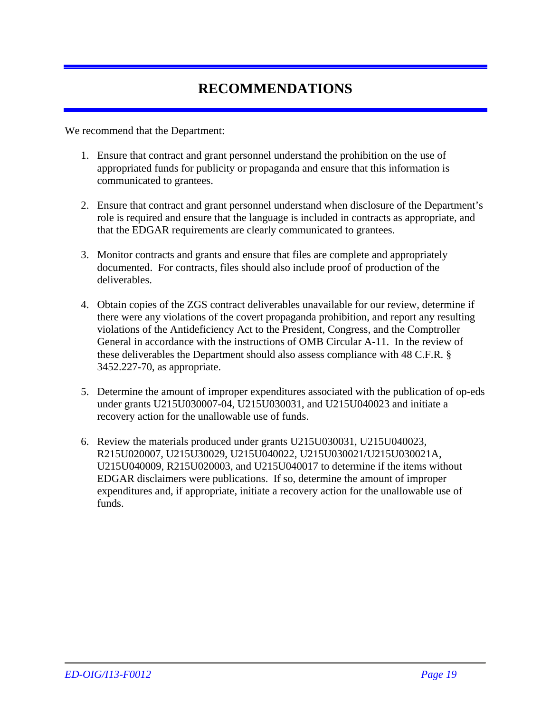## **RECOMMENDATIONS**

We recommend that the Department:

- 1. Ensure that contract and grant personnel understand the prohibition on the use of appropriated funds for publicity or propaganda and ensure that this information is communicated to grantees.
- 2. Ensure that contract and grant personnel understand when disclosure of the Department's role is required and ensure that the language is included in contracts as appropriate, and that the EDGAR requirements are clearly communicated to grantees.
- 3. Monitor contracts and grants and ensure that files are complete and appropriately documented. For contracts, files should also include proof of production of the deliverables.
- 4. Obtain copies of the ZGS contract deliverables unavailable for our review, determine if there were any violations of the covert propaganda prohibition, and report any resulting violations of the Antideficiency Act to the President, Congress, and the Comptroller General in accordance with the instructions of OMB Circular A-11. In the review of these deliverables the Department should also assess compliance with 48 C.F.R. § 3452.227-70, as appropriate.
- 5. Determine the amount of improper expenditures associated with the publication of op-eds under grants U215U030007-04, U215U030031, and U215U040023 and initiate a recovery action for the unallowable use of funds.
- 6. Review the materials produced under grants U215U030031, U215U040023*,*  R215U020007, U215U30029, U215U040022, U215U030021/U215U030021A, U215U040009, R215U020003, and U215U040017 to determine if the items without EDGAR disclaimers were publications. If so, determine the amount of improper expenditures and, if appropriate, initiate a recovery action for the unallowable use of funds.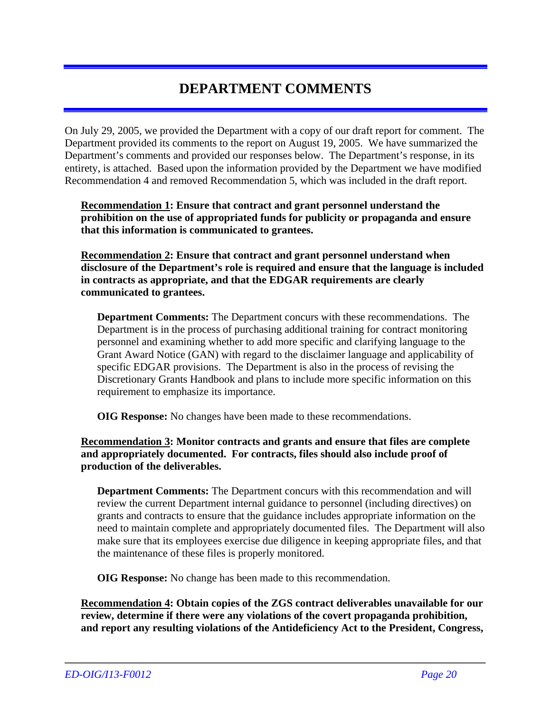## **DEPARTMENT COMMENTS**

On July 29, 2005, we provided the Department with a copy of our draft report for comment. The Department provided its comments to the report on August 19, 2005. We have summarized the Department's comments and provided our responses below. The Department's response, in its entirety, is attached. Based upon the information provided by the Department we have modified Recommendation 4 and removed Recommendation 5, which was included in the draft report.

**Recommendation 1: Ensure that contract and grant personnel understand the prohibition on the use of appropriated funds for publicity or propaganda and ensure that this information is communicated to grantees.** 

**Recommendation 2: Ensure that contract and grant personnel understand when disclosure of the Department's role is required and ensure that the language is included in contracts as appropriate, and that the EDGAR requirements are clearly communicated to grantees.** 

**Department Comments:** The Department concurs with these recommendations. The Department is in the process of purchasing additional training for contract monitoring personnel and examining whether to add more specific and clarifying language to the Grant Award Notice (GAN) with regard to the disclaimer language and applicability of specific EDGAR provisions. The Department is also in the process of revising the Discretionary Grants Handbook and plans to include more specific information on this requirement to emphasize its importance.

**OIG Response:** No changes have been made to these recommendations.

### **Recommendation 3: Monitor contracts and grants and ensure that files are complete and appropriately documented. For contracts, files should also include proof of production of the deliverables.**

**Department Comments:** The Department concurs with this recommendation and will review the current Department internal guidance to personnel (including directives) on grants and contracts to ensure that the guidance includes appropriate information on the need to maintain complete and appropriately documented files. The Department will also make sure that its employees exercise due diligence in keeping appropriate files, and that the maintenance of these files is properly monitored.

**OIG Response:** No change has been made to this recommendation.

**Recommendation 4: Obtain copies of the ZGS contract deliverables unavailable for our review, determine if there were any violations of the covert propaganda prohibition, and report any resulting violations of the Antideficiency Act to the President, Congress,**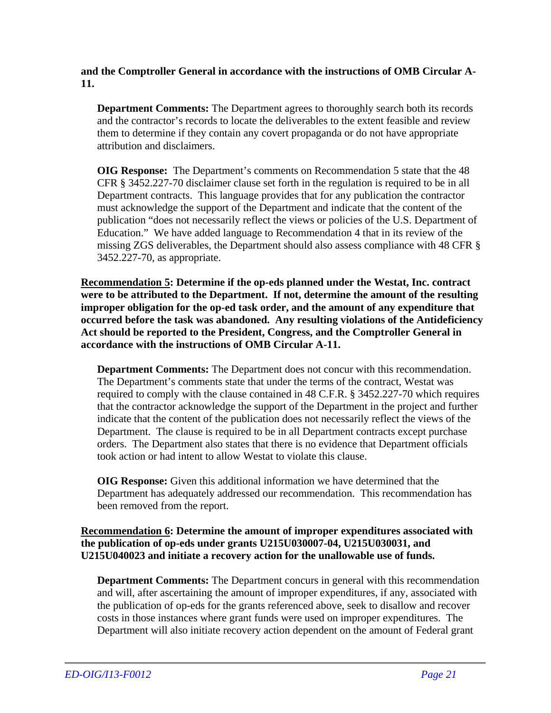**and the Comptroller General in accordance with the instructions of OMB Circular A-11.** 

**Department Comments:** The Department agrees to thoroughly search both its records and the contractor's records to locate the deliverables to the extent feasible and review them to determine if they contain any covert propaganda or do not have appropriate attribution and disclaimers.

**OIG Response:** The Department's comments on Recommendation 5 state that the 48 CFR § 3452.227-70 disclaimer clause set forth in the regulation is required to be in all Department contracts. This language provides that for any publication the contractor must acknowledge the support of the Department and indicate that the content of the publication "does not necessarily reflect the views or policies of the U.S. Department of Education." We have added language to Recommendation 4 that in its review of the missing ZGS deliverables, the Department should also assess compliance with 48 CFR § 3452.227-70, as appropriate.

**Recommendation 5: Determine if the op-eds planned under the Westat, Inc. contract were to be attributed to the Department. If not, determine the amount of the resulting improper obligation for the op-ed task order, and the amount of any expenditure that occurred before the task was abandoned. Any resulting violations of the Antideficiency Act should be reported to the President, Congress, and the Comptroller General in accordance with the instructions of OMB Circular A-11.** 

**Department Comments:** The Department does not concur with this recommendation. The Department's comments state that under the terms of the contract, Westat was required to comply with the clause contained in 48 C.F.R. § 3452.227-70 which requires that the contractor acknowledge the support of the Department in the project and further indicate that the content of the publication does not necessarily reflect the views of the Department. The clause is required to be in all Department contracts except purchase orders. The Department also states that there is no evidence that Department officials took action or had intent to allow Westat to violate this clause.

**OIG Response:** Given this additional information we have determined that the Department has adequately addressed our recommendation. This recommendation has been removed from the report.

### **Recommendation 6: Determine the amount of improper expenditures associated with the publication of op-eds under grants U215U030007-04, U215U030031, and U215U040023 and initiate a recovery action for the unallowable use of funds.**

**Department Comments:** The Department concurs in general with this recommendation and will, after ascertaining the amount of improper expenditures, if any, associated with the publication of op-eds for the grants referenced above, seek to disallow and recover costs in those instances where grant funds were used on improper expenditures. The Department will also initiate recovery action dependent on the amount of Federal grant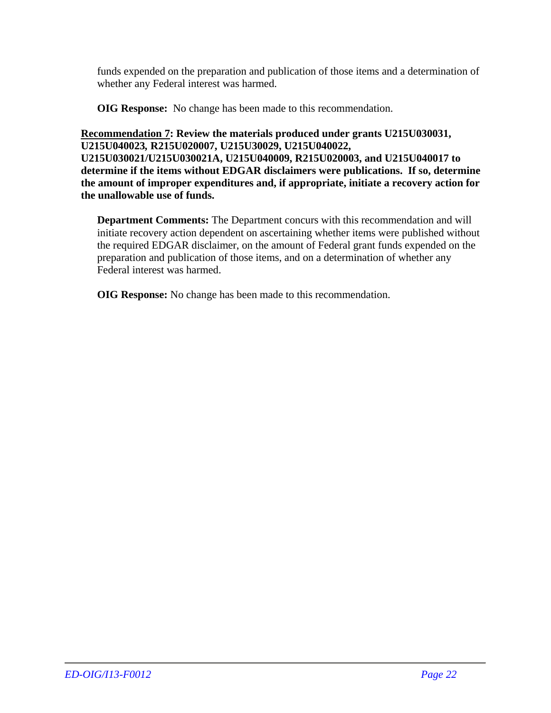funds expended on the preparation and publication of those items and a determination of whether any Federal interest was harmed.

**OIG Response:** No change has been made to this recommendation.

**Recommendation 7: Review the materials produced under grants U215U030031, U215U040023***,* **R215U020007, U215U30029, U215U040022, U215U030021/U215U030021A, U215U040009, R215U020003, and U215U040017 to determine if the items without EDGAR disclaimers were publications. If so, determine the amount of improper expenditures and, if appropriate, initiate a recovery action for the unallowable use of funds.** 

**Department Comments:** The Department concurs with this recommendation and will initiate recovery action dependent on ascertaining whether items were published without the required EDGAR disclaimer, on the amount of Federal grant funds expended on the preparation and publication of those items, and on a determination of whether any Federal interest was harmed.

**OIG Response:** No change has been made to this recommendation.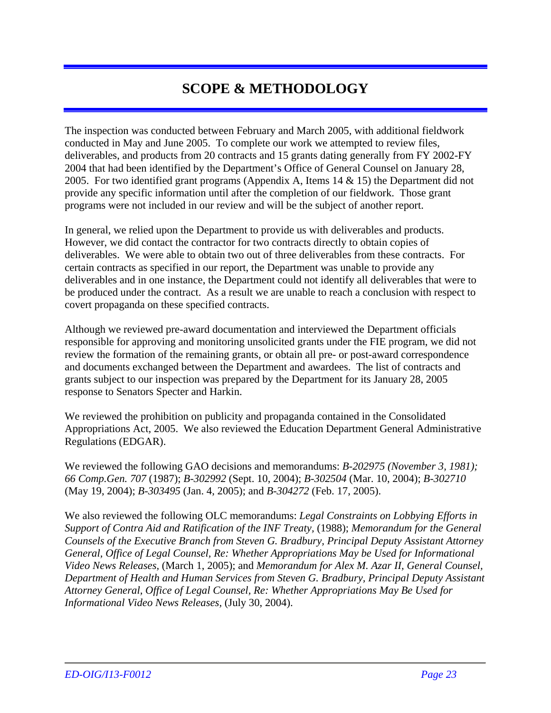## **SCOPE & METHODOLOGY**

The inspection was conducted between February and March 2005, with additional fieldwork conducted in May and June 2005. To complete our work we attempted to review files, deliverables, and products from 20 contracts and 15 grants dating generally from FY 2002-FY 2004 that had been identified by the Department's Office of General Counsel on January 28, 2005. For two identified grant programs (Appendix A, Items 14 & 15) the Department did not provide any specific information until after the completion of our fieldwork. Those grant programs were not included in our review and will be the subject of another report.

In general, we relied upon the Department to provide us with deliverables and products. However, we did contact the contractor for two contracts directly to obtain copies of deliverables. We were able to obtain two out of three deliverables from these contracts. For certain contracts as specified in our report, the Department was unable to provide any deliverables and in one instance, the Department could not identify all deliverables that were to be produced under the contract. As a result we are unable to reach a conclusion with respect to covert propaganda on these specified contracts.

Although we reviewed pre-award documentation and interviewed the Department officials responsible for approving and monitoring unsolicited grants under the FIE program, we did not review the formation of the remaining grants, or obtain all pre- or post-award correspondence and documents exchanged between the Department and awardees. The list of contracts and grants subject to our inspection was prepared by the Department for its January 28, 2005 response to Senators Specter and Harkin.

We reviewed the prohibition on publicity and propaganda contained in the Consolidated Appropriations Act, 2005. We also reviewed the Education Department General Administrative Regulations (EDGAR).

We reviewed the following GAO decisions and memorandums: *B-202975 (November 3, 1981); 66 Comp.Gen. 707* (1987); *B-302992* (Sept. 10, 2004); *B-302504* (Mar. 10, 2004); *B-302710* (May 19, 2004); *B-303495* (Jan. 4, 2005); and *B-304272* (Feb. 17, 2005).

We also reviewed the following OLC memorandums: *Legal Constraints on Lobbying Efforts in Support of Contra Aid and Ratification of the INF Treaty,* (1988); *Memorandum for the General Counsels of the Executive Branch from Steven G. Bradbury, Principal Deputy Assistant Attorney General, Office of Legal Counsel, Re: Whether Appropriations May be Used for Informational Video News Releases,* (March 1, 2005); and *Memorandum for Alex M. Azar II, General Counsel, Department of Health and Human Services from Steven G. Bradbury, Principal Deputy Assistant Attorney General, Office of Legal Counsel, Re: Whether Appropriations May Be Used for Informational Video News Releases,* (July 30, 2004).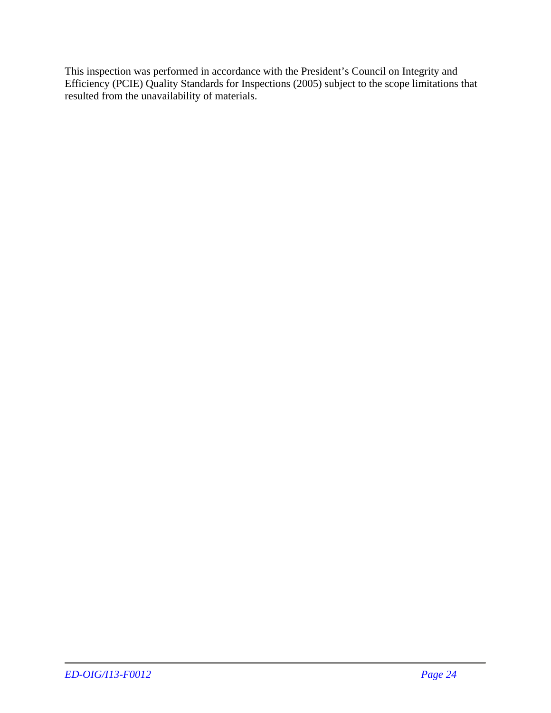This inspection was performed in accordance with the President's Council on Integrity and Efficiency (PCIE) Quality Standards for Inspections (2005) subject to the scope limitations that resulted from the unavailability of materials.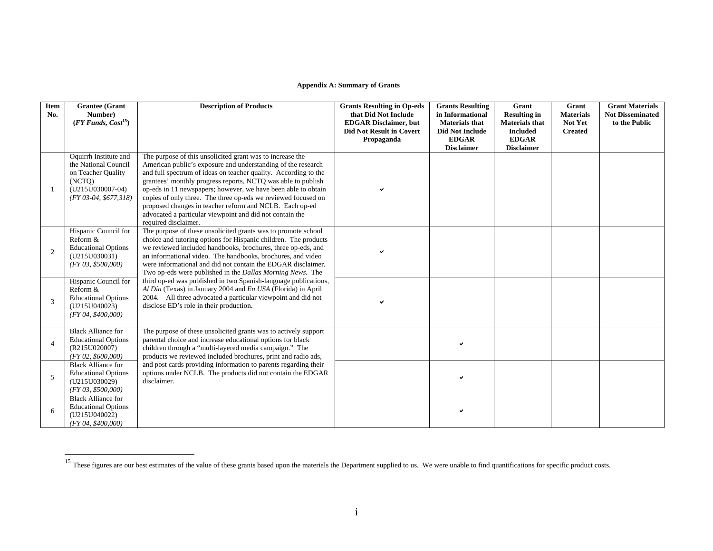#### **Appendix A: Summary of Grants**

| Item<br>No.    | <b>Grantee</b> (Grant<br>Number)<br>$(FY \, Funds, Cost^{15})$                                                              | <b>Description of Products</b>                                                                                                                                                                                                                                                                                                                                                                                                                                                                                                                | <b>Grants Resulting in Op-eds</b><br>that Did Not Include<br><b>EDGAR Disclaimer, but</b><br><b>Did Not Result in Covert</b><br>Propaganda | <b>Grants Resulting</b><br>in Informational<br><b>Materials that</b><br><b>Did Not Include</b><br><b>EDGAR</b><br><b>Disclaimer</b> | Grant<br><b>Resulting in</b><br><b>Materials that</b><br><b>Included</b><br><b>EDGAR</b><br><b>Disclaimer</b> | Grant<br><b>Materials</b><br>Not Yet<br><b>Created</b> | <b>Grant Materials</b><br><b>Not Disseminated</b><br>to the Public |
|----------------|-----------------------------------------------------------------------------------------------------------------------------|-----------------------------------------------------------------------------------------------------------------------------------------------------------------------------------------------------------------------------------------------------------------------------------------------------------------------------------------------------------------------------------------------------------------------------------------------------------------------------------------------------------------------------------------------|--------------------------------------------------------------------------------------------------------------------------------------------|-------------------------------------------------------------------------------------------------------------------------------------|---------------------------------------------------------------------------------------------------------------|--------------------------------------------------------|--------------------------------------------------------------------|
| 1              | Oquirrh Institute and<br>the National Council<br>on Teacher Quality<br>(NCTQ)<br>(U215U030007-04)<br>$(FY 03-04, $677,318)$ | The purpose of this unsolicited grant was to increase the<br>American public's exposure and understanding of the research<br>and full spectrum of ideas on teacher quality. According to the<br>grantees' monthly progress reports, NCTQ was able to publish<br>op-eds in 11 newspapers; however, we have been able to obtain<br>copies of only three. The three op-eds we reviewed focused on<br>proposed changes in teacher reform and NCLB. Each op-ed<br>advocated a particular viewpoint and did not contain the<br>required disclaimer. |                                                                                                                                            |                                                                                                                                     |                                                                                                               |                                                        |                                                                    |
| 2              | Hispanic Council for<br>Reform &<br><b>Educational Options</b><br>(U215U030031)<br>(FY 03, \$500,000)                       | The purpose of these unsolicited grants was to promote school<br>choice and tutoring options for Hispanic children. The products<br>we reviewed included handbooks, brochures, three op-eds, and<br>an informational video. The handbooks, brochures, and video<br>were informational and did not contain the EDGAR disclaimer.<br>Two op-eds were published in the <i>Dallas Morning News</i> . The                                                                                                                                          |                                                                                                                                            |                                                                                                                                     |                                                                                                               |                                                        |                                                                    |
| 3              | Hispanic Council for<br>Reform &<br><b>Educational Options</b><br>(U215U040023)<br>(FY 04, \$400,000)                       | third op-ed was published in two Spanish-language publications,<br>Al Día (Texas) in January 2004 and En USA (Florida) in April<br>2004. All three advocated a particular viewpoint and did not<br>disclose ED's role in their production.                                                                                                                                                                                                                                                                                                    |                                                                                                                                            |                                                                                                                                     |                                                                                                               |                                                        |                                                                    |
| $\overline{4}$ | <b>Black Alliance for</b><br><b>Educational Options</b><br>(R215U020007)<br>(FY 02, \$600,000)                              | The purpose of these unsolicited grants was to actively support<br>parental choice and increase educational options for black<br>children through a "multi-layered media campaign." The<br>products we reviewed included brochures, print and radio ads,                                                                                                                                                                                                                                                                                      |                                                                                                                                            | v                                                                                                                                   |                                                                                                               |                                                        |                                                                    |
| 5              | <b>Black Alliance for</b><br><b>Educational Options</b><br>(U215U030029)<br>(FY 03, \$500,000)                              | and post cards providing information to parents regarding their<br>options under NCLB. The products did not contain the EDGAR<br>disclaimer.                                                                                                                                                                                                                                                                                                                                                                                                  |                                                                                                                                            | ✓                                                                                                                                   |                                                                                                               |                                                        |                                                                    |
| 6              | <b>Black Alliance for</b><br><b>Educational Options</b><br>(U215U040022)<br>(FY 04, \$400,000)                              |                                                                                                                                                                                                                                                                                                                                                                                                                                                                                                                                               |                                                                                                                                            |                                                                                                                                     |                                                                                                               |                                                        |                                                                    |

<sup>&</sup>lt;sup>15</sup> These figures are our best estimates of the value of these grants based upon the materials the Department supplied to us. We were unable to find quantifications for specific product costs.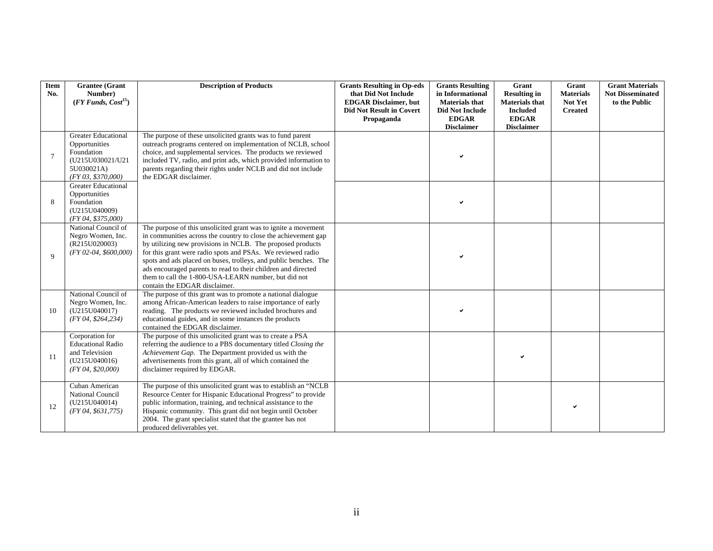| Item<br>No. | <b>Grantee</b> (Grant<br>Number)<br>$(FY \, Funds, Cost^{15})$                                                    | <b>Description of Products</b>                                                                                                                                                                                                                                                                                                                                                                                                                                                              | <b>Grants Resulting in Op-eds</b><br>that Did Not Include<br><b>EDGAR Disclaimer, but</b><br><b>Did Not Result in Covert</b> | <b>Grants Resulting</b><br>in Informational<br><b>Materials that</b><br><b>Did Not Include</b> | Grant<br><b>Resulting in</b><br><b>Materials that</b><br><b>Included</b> | Grant<br><b>Materials</b><br>Not Yet<br><b>Created</b> | <b>Grant Materials</b><br><b>Not Disseminated</b><br>to the Public |
|-------------|-------------------------------------------------------------------------------------------------------------------|---------------------------------------------------------------------------------------------------------------------------------------------------------------------------------------------------------------------------------------------------------------------------------------------------------------------------------------------------------------------------------------------------------------------------------------------------------------------------------------------|------------------------------------------------------------------------------------------------------------------------------|------------------------------------------------------------------------------------------------|--------------------------------------------------------------------------|--------------------------------------------------------|--------------------------------------------------------------------|
|             |                                                                                                                   |                                                                                                                                                                                                                                                                                                                                                                                                                                                                                             | Propaganda                                                                                                                   | <b>EDGAR</b><br><b>Disclaimer</b>                                                              | <b>EDGAR</b><br><b>Disclaimer</b>                                        |                                                        |                                                                    |
| 7           | <b>Greater Educational</b><br>Opportunities<br>Foundation<br>(U215U030021/U21<br>5U030021A)<br>(FY 03, \$370,000) | The purpose of these unsolicited grants was to fund parent<br>outreach programs centered on implementation of NCLB, school<br>choice, and supplemental services. The products we reviewed<br>included TV, radio, and print ads, which provided information to<br>parents regarding their rights under NCLB and did not include<br>the EDGAR disclaimer.                                                                                                                                     |                                                                                                                              |                                                                                                |                                                                          |                                                        |                                                                    |
| 8           | <b>Greater Educational</b><br>Opportunities<br>Foundation<br>(U215U040009)<br>(FY 04, \$375,000)                  |                                                                                                                                                                                                                                                                                                                                                                                                                                                                                             |                                                                                                                              |                                                                                                |                                                                          |                                                        |                                                                    |
| $\mathbf Q$ | National Council of<br>Negro Women, Inc.<br>(R215U020003)<br>$(FY 02-04, $600,000)$                               | The purpose of this unsolicited grant was to ignite a movement<br>in communities across the country to close the achievement gap<br>by utilizing new provisions in NCLB. The proposed products<br>for this grant were radio spots and PSAs. We reviewed radio<br>spots and ads placed on buses, trolleys, and public benches. The<br>ads encouraged parents to read to their children and directed<br>them to call the 1-800-USA-LEARN number, but did not<br>contain the EDGAR disclaimer. |                                                                                                                              |                                                                                                |                                                                          |                                                        |                                                                    |
| 10          | National Council of<br>Negro Women, Inc.<br>(U215U040017)<br>(FY 04, \$264, 234)                                  | The purpose of this grant was to promote a national dialogue<br>among African-American leaders to raise importance of early<br>reading. The products we reviewed included brochures and<br>educational guides, and in some instances the products<br>contained the EDGAR disclaimer.                                                                                                                                                                                                        |                                                                                                                              |                                                                                                |                                                                          |                                                        |                                                                    |
| 11          | Corporation for<br><b>Educational Radio</b><br>and Television<br>(U215U040016)<br>(FY 04, \$20,000)               | The purpose of this unsolicited grant was to create a PSA<br>referring the audience to a PBS documentary titled Closing the<br>Achievement Gap. The Department provided us with the<br>advertisements from this grant, all of which contained the<br>disclaimer required by EDGAR.                                                                                                                                                                                                          |                                                                                                                              |                                                                                                |                                                                          |                                                        |                                                                    |
| 12          | Cuban American<br>National Council<br>(U215U040014)<br>(FY 04, \$631, 775)                                        | The purpose of this unsolicited grant was to establish an "NCLB"<br>Resource Center for Hispanic Educational Progress" to provide<br>public information, training, and technical assistance to the<br>Hispanic community. This grant did not begin until October<br>2004. The grant specialist stated that the grantee has not<br>produced deliverables yet.                                                                                                                                |                                                                                                                              |                                                                                                |                                                                          |                                                        |                                                                    |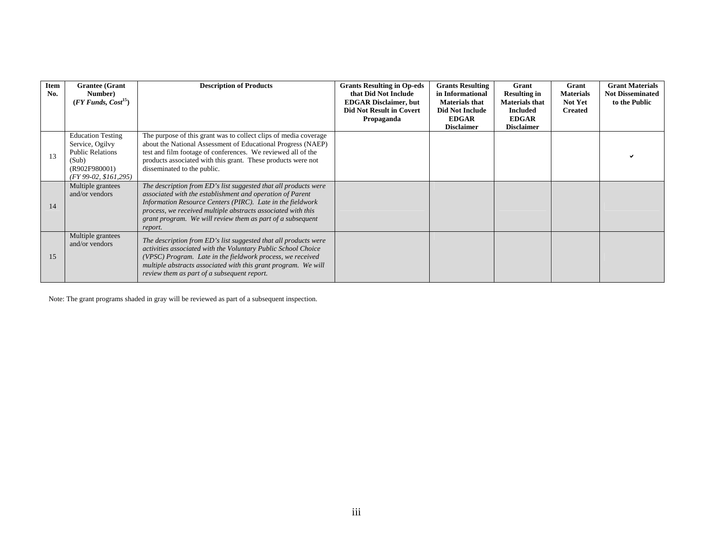| Item<br>No. | <b>Grantee</b> (Grant<br>Number)<br>$(FY \, Funds, Cost^{15})$                                                             | <b>Description of Products</b>                                                                                                                                                                                                                                                                                                      | <b>Grants Resulting in Op-eds</b><br>that Did Not Include<br><b>EDGAR Disclaimer, but</b><br><b>Did Not Result in Covert</b> | <b>Grants Resulting</b><br>in Informational<br><b>Materials that</b><br>Did Not Include<br><b>EDGAR</b> | Grant<br><b>Resulting in</b><br><b>Materials that</b><br><b>Included</b><br><b>EDGAR</b> | Grant<br><b>Materials</b><br>Not Yet<br><b>Created</b> | <b>Grant Materials</b><br><b>Not Disseminated</b><br>to the Public |
|-------------|----------------------------------------------------------------------------------------------------------------------------|-------------------------------------------------------------------------------------------------------------------------------------------------------------------------------------------------------------------------------------------------------------------------------------------------------------------------------------|------------------------------------------------------------------------------------------------------------------------------|---------------------------------------------------------------------------------------------------------|------------------------------------------------------------------------------------------|--------------------------------------------------------|--------------------------------------------------------------------|
|             |                                                                                                                            |                                                                                                                                                                                                                                                                                                                                     | Propaganda                                                                                                                   | <b>Disclaimer</b>                                                                                       | <b>Disclaimer</b>                                                                        |                                                        |                                                                    |
| 13          | <b>Education Testing</b><br>Service, Ogilvy<br><b>Public Relations</b><br>(Sub)<br>(R902F980001)<br>$(FY 99-02, $161,295)$ | The purpose of this grant was to collect clips of media coverage<br>about the National Assessment of Educational Progress (NAEP)<br>test and film footage of conferences. We reviewed all of the<br>products associated with this grant. These products were not<br>disseminated to the public.                                     |                                                                                                                              |                                                                                                         |                                                                                          |                                                        |                                                                    |
| 14          | Multiple grantees<br>and/or vendors                                                                                        | The description from ED's list suggested that all products were<br>associated with the establishment and operation of Parent<br>Information Resource Centers (PIRC). Late in the fieldwork<br>process, we received multiple abstracts associated with this<br>grant program. We will review them as part of a subsequent<br>report. |                                                                                                                              |                                                                                                         |                                                                                          |                                                        |                                                                    |
| 15          | Multiple grantees<br>and/or vendors                                                                                        | The description from ED's list suggested that all products were<br>activities associated with the Voluntary Public School Choice<br>(VPSC) Program. Late in the fieldwork process, we received<br>multiple abstracts associated with this grant program. We will<br>review them as part of a subsequent report.                     |                                                                                                                              |                                                                                                         |                                                                                          |                                                        |                                                                    |

Note: The grant programs shaded in gray will be reviewed as part of a subsequent inspection.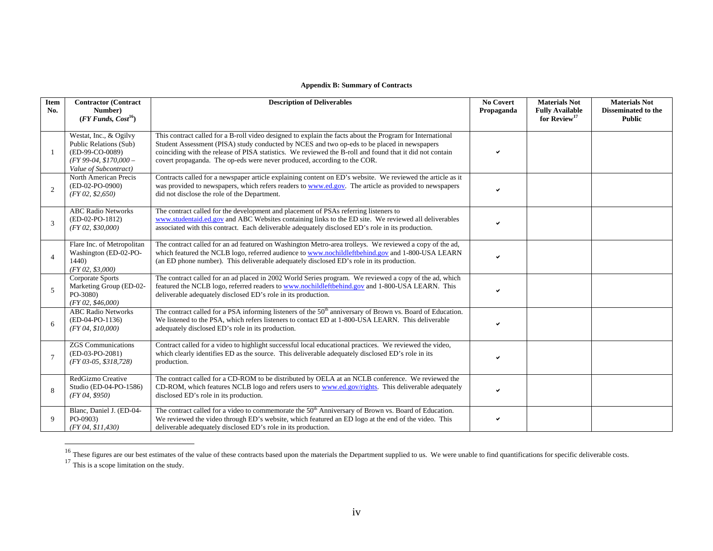#### **Appendix B: Summary of Contracts**

| Item<br>No.     | <b>Contractor (Contract</b><br>Number)<br>$(FY \, Funds, Cost^{16})$                                                   | <b>Description of Deliverables</b>                                                                                                                                                                                                                                                                                                                                                               | <b>No Covert</b><br>Propaganda | <b>Materials Not</b><br><b>Fully Available</b><br>for Review <sup>17</sup> | <b>Materials Not</b><br><b>Disseminated to the</b><br><b>Public</b> |
|-----------------|------------------------------------------------------------------------------------------------------------------------|--------------------------------------------------------------------------------------------------------------------------------------------------------------------------------------------------------------------------------------------------------------------------------------------------------------------------------------------------------------------------------------------------|--------------------------------|----------------------------------------------------------------------------|---------------------------------------------------------------------|
|                 | Westat, Inc., & Ogilvy<br>Public Relations (Sub)<br>(ED-99-CO-0089)<br>$(FY 99-04, $170,000-$<br>Value of Subcontract) | This contract called for a B-roll video designed to explain the facts about the Program for International<br>Student Assessment (PISA) study conducted by NCES and two op-eds to be placed in newspapers<br>coinciding with the release of PISA statistics. We reviewed the B-roll and found that it did not contain<br>covert propaganda. The op-eds were never produced, according to the COR. | ✓                              |                                                                            |                                                                     |
| $\overline{2}$  | North American Precis<br>(ED-02-PO-0900)<br>(FY 02, \$2,650)                                                           | Contracts called for a newspaper article explaining content on ED's website. We reviewed the article as it<br>was provided to newspapers, which refers readers to www.ed.gov. The article as provided to newspapers<br>did not disclose the role of the Department.                                                                                                                              |                                |                                                                            |                                                                     |
| 3               | <b>ABC Radio Networks</b><br>(ED-02-PO-1812)<br>(FY 02, \$30,000)                                                      | The contract called for the development and placement of PSAs referring listeners to<br>www.studentaid.ed.gov and ABC Websites containing links to the ED site. We reviewed all deliverables<br>associated with this contract. Each deliverable adequately disclosed ED's role in its production.                                                                                                |                                |                                                                            |                                                                     |
| $\overline{4}$  | Flare Inc. of Metropolitan<br>Washington (ED-02-PO-<br>1440<br>(FY 02, \$3,000)                                        | The contract called for an ad featured on Washington Metro-area trolleys. We reviewed a copy of the ad,<br>which featured the NCLB logo, referred audience to www.nochildleftbehind.gov and 1-800-USA LEARN<br>(an ED phone number). This deliverable adequately disclosed ED's role in its production.                                                                                          |                                |                                                                            |                                                                     |
| 5               | Corporate Sports<br>Marketing Group (ED-02-<br>PO-3080)<br>(FY 02, \$46,000)                                           | The contract called for an ad placed in 2002 World Series program. We reviewed a copy of the ad, which<br>featured the NCLB logo, referred readers to www.nochildleftbehind.gov and 1-800-USA LEARN. This<br>deliverable adequately disclosed ED's role in its production.                                                                                                                       |                                |                                                                            |                                                                     |
| 6               | <b>ABC Radio Networks</b><br>(ED-04-PO-1136)<br>(FY 04, \$10,000)                                                      | The contract called for a PSA informing listeners of the 50 <sup>th</sup> anniversary of Brown vs. Board of Education.<br>We listened to the PSA, which refers listeners to contact ED at 1-800-USA LEARN. This deliverable<br>adequately disclosed ED's role in its production.                                                                                                                 | ✓                              |                                                                            |                                                                     |
| $7\phantom{.0}$ | <b>ZGS</b> Communications<br>(ED-03-PO-2081)<br>$(FY 03-05, $318, 728)$                                                | Contract called for a video to highlight successful local educational practices. We reviewed the video,<br>which clearly identifies ED as the source. This deliverable adequately disclosed ED's role in its<br>production.                                                                                                                                                                      | ✓                              |                                                                            |                                                                     |
| 8               | RedGizmo Creative<br>Studio (ED-04-PO-1586)<br>(FY 04, \$950)                                                          | The contract called for a CD-ROM to be distributed by OELA at an NCLB conference. We reviewed the<br>CD-ROM, which features NCLB logo and refers users to www.ed.gov/rights. This deliverable adequately<br>disclosed ED's role in its production.                                                                                                                                               |                                |                                                                            |                                                                     |
| $\mathbf Q$     | Blanc, Daniel J. (ED-04-<br>PO-0903)<br>(FY 04, \$11,430)                                                              | The contract called for a video to commemorate the $50th$ Anniversary of Brown vs. Board of Education.<br>We reviewed the video through ED's website, which featured an ED logo at the end of the video. This<br>deliverable adequately disclosed ED's role in its production.                                                                                                                   | ✓                              |                                                                            |                                                                     |

<sup>&</sup>lt;sup>16</sup> These figures are our best estimates of the value of these contracts based upon the materials the Department supplied to us. We were unable to find quantifications for specific deliverable costs.<br><sup>17</sup> This is a scope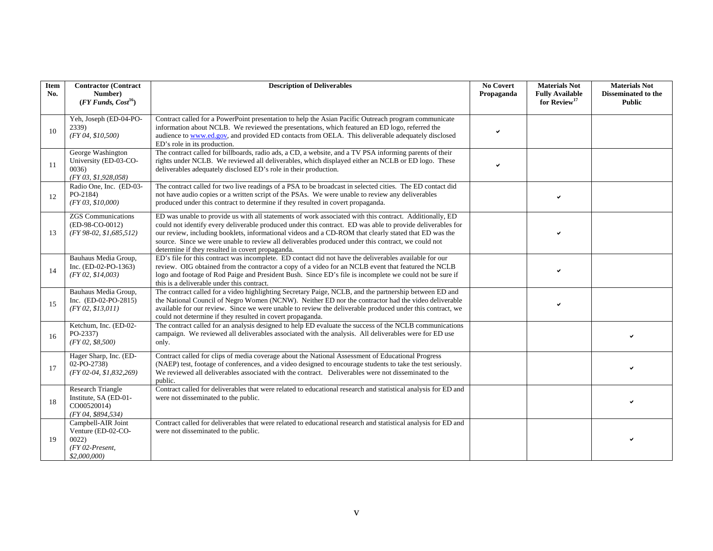| <b>Item</b><br>No. | <b>Contractor (Contract</b><br>Number)<br>$(FY \, Funds, Cost^{16})$                    | <b>Description of Deliverables</b>                                                                                                                                                                                                                                                                                                                                                                                                                                                       | <b>No Covert</b><br>Propaganda | <b>Materials Not</b><br><b>Fully Available</b><br>for Review <sup>17</sup> | <b>Materials Not</b><br><b>Disseminated to the</b><br><b>Public</b> |
|--------------------|-----------------------------------------------------------------------------------------|------------------------------------------------------------------------------------------------------------------------------------------------------------------------------------------------------------------------------------------------------------------------------------------------------------------------------------------------------------------------------------------------------------------------------------------------------------------------------------------|--------------------------------|----------------------------------------------------------------------------|---------------------------------------------------------------------|
| 10                 | Yeh, Joseph (ED-04-PO-<br>2339)<br>(FY 04, \$10,500)                                    | Contract called for a PowerPoint presentation to help the Asian Pacific Outreach program communicate<br>information about NCLB. We reviewed the presentations, which featured an ED logo, referred the<br>audience to www.ed.gov, and provided ED contacts from OELA. This deliverable adequately disclosed<br>ED's role in its production.                                                                                                                                              |                                |                                                                            |                                                                     |
| 11                 | George Washington<br>University (ED-03-CO-<br>0036)<br>(FY 03, \$1,928,058)             | The contract called for billboards, radio ads, a CD, a website, and a TV PSA informing parents of their<br>rights under NCLB. We reviewed all deliverables, which displayed either an NCLB or ED logo. These<br>deliverables adequately disclosed ED's role in their production.                                                                                                                                                                                                         |                                |                                                                            |                                                                     |
| 12                 | Radio One, Inc. (ED-03-<br>PO-2184)<br>(FY 03, \$10,000)                                | The contract called for two live readings of a PSA to be broadcast in selected cities. The ED contact did<br>not have audio copies or a written script of the PSAs. We were unable to review any deliverables<br>produced under this contract to determine if they resulted in covert propaganda.                                                                                                                                                                                        |                                |                                                                            |                                                                     |
| 13                 | <b>ZGS</b> Communications<br>(ED-98-CO-0012)<br>$(FY 98-02, $1,685,512)$                | ED was unable to provide us with all statements of work associated with this contract. Additionally, ED<br>could not identify every deliverable produced under this contract. ED was able to provide deliverables for<br>our review, including booklets, informational videos and a CD-ROM that clearly stated that ED was the<br>source. Since we were unable to review all deliverables produced under this contract, we could not<br>determine if they resulted in covert propaganda. |                                |                                                                            |                                                                     |
| 14                 | Bauhaus Media Group,<br>Inc. $(ED-02-PO-1363)$<br>(FY 02, \$14,003)                     | ED's file for this contract was incomplete. ED contact did not have the deliverables available for our<br>review. OIG obtained from the contractor a copy of a video for an NCLB event that featured the NCLB<br>logo and footage of Rod Paige and President Bush. Since ED's file is incomplete we could not be sure if<br>this is a deliverable under this contract.                                                                                                                   |                                |                                                                            |                                                                     |
| 15                 | Bauhaus Media Group,<br>Inc. $(ED-02-PO-2815)$<br>(FY 02, \$13,011)                     | The contract called for a video highlighting Secretary Paige, NCLB, and the partnership between ED and<br>the National Council of Negro Women (NCNW). Neither ED nor the contractor had the video deliverable<br>available for our review. Since we were unable to review the deliverable produced under this contract, we<br>could not determine if they resulted in covert propaganda.                                                                                                 |                                |                                                                            |                                                                     |
| 16                 | Ketchum, Inc. (ED-02-<br>PO-2337)<br>(FY 02, \$8,500)                                   | The contract called for an analysis designed to help ED evaluate the success of the NCLB communications<br>campaign. We reviewed all deliverables associated with the analysis. All deliverables were for ED use<br>only.                                                                                                                                                                                                                                                                |                                |                                                                            |                                                                     |
| 17                 | Hager Sharp, Inc. (ED-<br>02-PO-2738)<br>$(FY 02-04, $1,832,269)$                       | Contract called for clips of media coverage about the National Assessment of Educational Progress<br>(NAEP) test, footage of conferences, and a video designed to encourage students to take the test seriously.<br>We reviewed all deliverables associated with the contract. Deliverables were not disseminated to the<br>public.                                                                                                                                                      |                                |                                                                            |                                                                     |
| 18                 | <b>Research Triangle</b><br>Institute, SA (ED-01-<br>CO00520014)<br>(FY 04, \$894, 534) | Contract called for deliverables that were related to educational research and statistical analysis for ED and<br>were not disseminated to the public.                                                                                                                                                                                                                                                                                                                                   |                                |                                                                            |                                                                     |
| 19                 | Campbell-AIR Joint<br>Venture (ED-02-CO-<br>0022<br>$(FY 02-Present,$<br>\$2,000,000    | Contract called for deliverables that were related to educational research and statistical analysis for ED and<br>were not disseminated to the public.                                                                                                                                                                                                                                                                                                                                   |                                |                                                                            |                                                                     |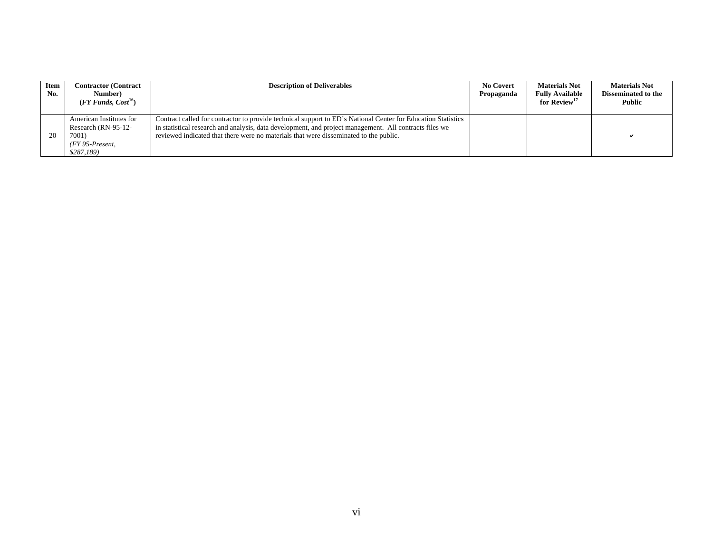| Item<br>No. | <b>Contractor (Contract)</b><br>Number)<br>$(FY \text{ Funds}, \text{Cost}^{16})$         | <b>Description of Deliverables</b>                                                                                                                                                                                                                                                                              | <b>No Covert</b><br>Propaganda | <b>Materials Not</b><br><b>Fully Available</b><br>for Review <sup>17</sup> | <b>Materials Not</b><br><b>Disseminated to the</b><br><b>Public</b> |
|-------------|-------------------------------------------------------------------------------------------|-----------------------------------------------------------------------------------------------------------------------------------------------------------------------------------------------------------------------------------------------------------------------------------------------------------------|--------------------------------|----------------------------------------------------------------------------|---------------------------------------------------------------------|
| 20          | American Institutes for<br>Research (RN-95-12-<br>7001)<br>$(FY 95-Present,$<br>\$287,189 | Contract called for contractor to provide technical support to ED's National Center for Education Statistics<br>in statistical research and analysis, data development, and project management. All contracts files we<br>reviewed indicated that there were no materials that were disseminated to the public. |                                |                                                                            |                                                                     |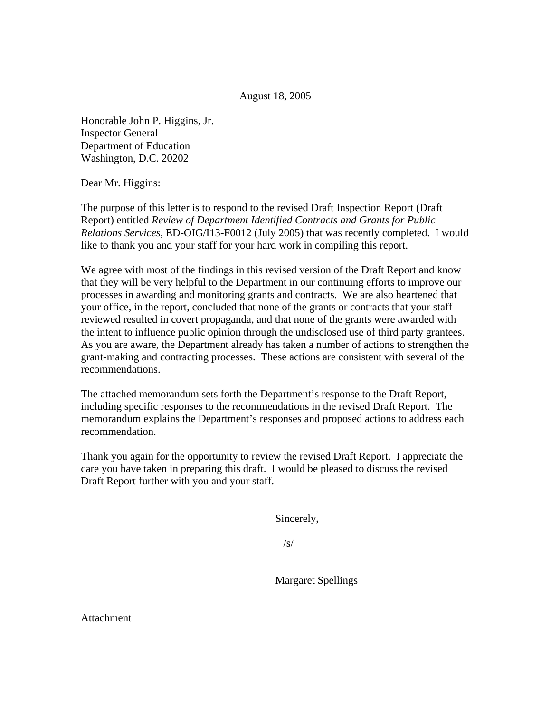August 18, 2005

Honorable John P. Higgins, Jr. Inspector General Department of Education Washington, D.C. 20202

Dear Mr. Higgins:

The purpose of this letter is to respond to the revised Draft Inspection Report (Draft Report) entitled *Review of Department Identified Contracts and Grants for Public Relations Services*, ED-OIG/I13-F0012 (July 2005) that was recently completed. I would like to thank you and your staff for your hard work in compiling this report.

We agree with most of the findings in this revised version of the Draft Report and know that they will be very helpful to the Department in our continuing efforts to improve our processes in awarding and monitoring grants and contracts. We are also heartened that your office, in the report, concluded that none of the grants or contracts that your staff reviewed resulted in covert propaganda, and that none of the grants were awarded with the intent to influence public opinion through the undisclosed use of third party grantees. As you are aware, the Department already has taken a number of actions to strengthen the grant-making and contracting processes. These actions are consistent with several of the recommendations.

The attached memorandum sets forth the Department's response to the Draft Report, including specific responses to the recommendations in the revised Draft Report. The memorandum explains the Department's responses and proposed actions to address each recommendation.

Thank you again for the opportunity to review the revised Draft Report. I appreciate the care you have taken in preparing this draft. I would be pleased to discuss the revised Draft Report further with you and your staff.

Sincerely,

 $\sqrt{s}$ /

Margaret Spellings

Attachment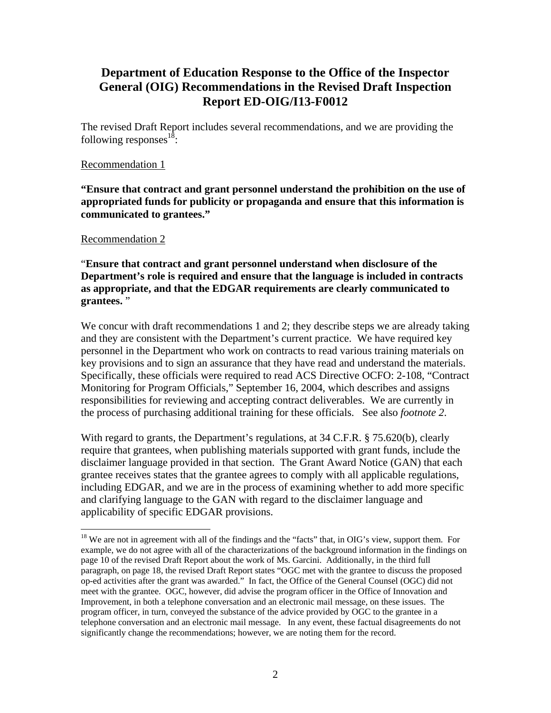### **Department of Education Response to the Office of the Inspector General (OIG) Recommendations in the Revised Draft Inspection Report ED-OIG/I13-F0012**

The revised Draft Report includes several recommendations, and we are providing the following responses $^{18}$ :

#### Recommendation 1

**"Ensure that contract and grant personnel understand the prohibition on the use of appropriated funds for publicity or propaganda and ensure that this information is communicated to grantees."** 

#### Recommendation 2

 $\overline{a}$ 

"**Ensure that contract and grant personnel understand when disclosure of the Department's role is required and ensure that the language is included in contracts as appropriate, and that the EDGAR requirements are clearly communicated to grantees.** "

We concur with draft recommendations 1 and 2; they describe steps we are already taking and they are consistent with the Department's current practice. We have required key personnel in the Department who work on contracts to read various training materials on key provisions and to sign an assurance that they have read and understand the materials. Specifically, these officials were required to read ACS Directive OCFO: 2-108, "Contract Monitoring for Program Officials," September 16, 2004, which describes and assigns responsibilities for reviewing and accepting contract deliverables. We are currently in the process of purchasing additional training for these officials. See also *footnote 2*.

With regard to grants, the Department's regulations, at 34 C.F.R. § 75.620(b), clearly require that grantees, when publishing materials supported with grant funds, include the disclaimer language provided in that section. The Grant Award Notice (GAN) that each grantee receives states that the grantee agrees to comply with all applicable regulations, including EDGAR, and we are in the process of examining whether to add more specific and clarifying language to the GAN with regard to the disclaimer language and applicability of specific EDGAR provisions.

<sup>&</sup>lt;sup>18</sup> We are not in agreement with all of the findings and the "facts" that, in OIG's view, support them. For example, we do not agree with all of the characterizations of the background information in the findings on page 10 of the revised Draft Report about the work of Ms. Garcini. Additionally, in the third full paragraph, on page 18, the revised Draft Report states "OGC met with the grantee to discuss the proposed op-ed activities after the grant was awarded." In fact, the Office of the General Counsel (OGC) did not meet with the grantee. OGC, however, did advise the program officer in the Office of Innovation and Improvement, in both a telephone conversation and an electronic mail message, on these issues. The program officer, in turn, conveyed the substance of the advice provided by OGC to the grantee in a telephone conversation and an electronic mail message. In any event, these factual disagreements do not significantly change the recommendations; however, we are noting them for the record.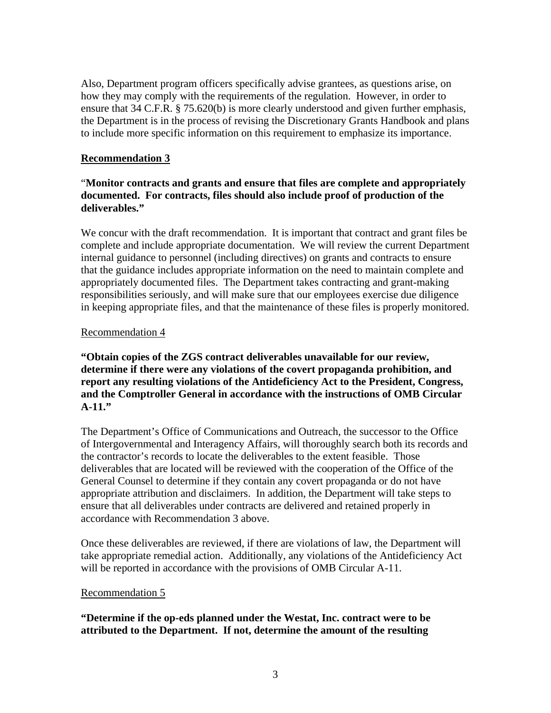Also, Department program officers specifically advise grantees, as questions arise, on how they may comply with the requirements of the regulation. However, in order to ensure that 34 C.F.R. § 75.620(b) is more clearly understood and given further emphasis, the Department is in the process of revising the Discretionary Grants Handbook and plans to include more specific information on this requirement to emphasize its importance.

### **Recommendation 3**

### "**Monitor contracts and grants and ensure that files are complete and appropriately documented. For contracts, files should also include proof of production of the deliverables."**

We concur with the draft recommendation. It is important that contract and grant files be complete and include appropriate documentation. We will review the current Department internal guidance to personnel (including directives) on grants and contracts to ensure that the guidance includes appropriate information on the need to maintain complete and appropriately documented files. The Department takes contracting and grant-making responsibilities seriously, and will make sure that our employees exercise due diligence in keeping appropriate files, and that the maintenance of these files is properly monitored.

### Recommendation 4

**"Obtain copies of the ZGS contract deliverables unavailable for our review, determine if there were any violations of the covert propaganda prohibition, and report any resulting violations of the Antideficiency Act to the President, Congress, and the Comptroller General in accordance with the instructions of OMB Circular A-11."** 

The Department's Office of Communications and Outreach, the successor to the Office of Intergovernmental and Interagency Affairs, will thoroughly search both its records and the contractor's records to locate the deliverables to the extent feasible. Those deliverables that are located will be reviewed with the cooperation of the Office of the General Counsel to determine if they contain any covert propaganda or do not have appropriate attribution and disclaimers. In addition, the Department will take steps to ensure that all deliverables under contracts are delivered and retained properly in accordance with Recommendation 3 above.

Once these deliverables are reviewed, if there are violations of law, the Department will take appropriate remedial action. Additionally, any violations of the Antideficiency Act will be reported in accordance with the provisions of OMB Circular A-11.

#### Recommendation 5

### **"Determine if the op-eds planned under the Westat, Inc. contract were to be attributed to the Department. If not, determine the amount of the resulting**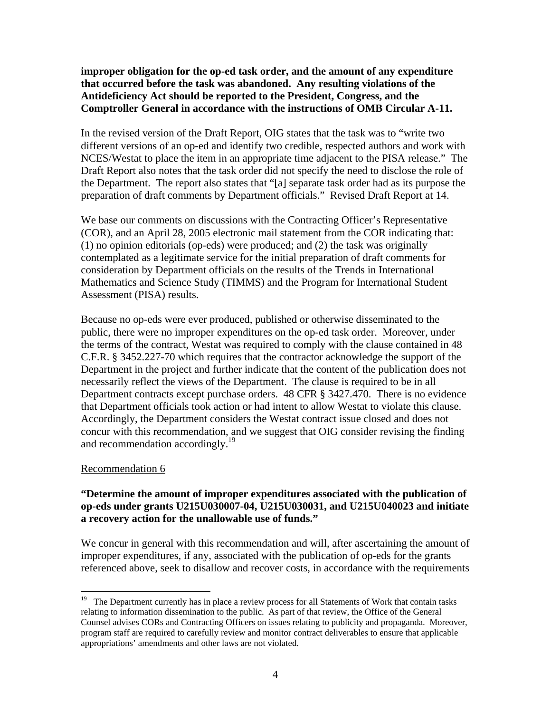**improper obligation for the op-ed task order, and the amount of any expenditure that occurred before the task was abandoned. Any resulting violations of the Antideficiency Act should be reported to the President, Congress, and the Comptroller General in accordance with the instructions of OMB Circular A-11.**

In the revised version of the Draft Report, OIG states that the task was to "write two different versions of an op-ed and identify two credible, respected authors and work with NCES/Westat to place the item in an appropriate time adjacent to the PISA release." The Draft Report also notes that the task order did not specify the need to disclose the role of the Department. The report also states that "[a] separate task order had as its purpose the preparation of draft comments by Department officials." Revised Draft Report at 14.

We base our comments on discussions with the Contracting Officer's Representative (COR), and an April 28, 2005 electronic mail statement from the COR indicating that: (1) no opinion editorials (op-eds) were produced; and (2) the task was originally contemplated as a legitimate service for the initial preparation of draft comments for consideration by Department officials on the results of the Trends in International Mathematics and Science Study (TIMMS) and the Program for International Student Assessment (PISA) results.

Because no op-eds were ever produced, published or otherwise disseminated to the public, there were no improper expenditures on the op-ed task order. Moreover, under the terms of the contract, Westat was required to comply with the clause contained in 48 C.F.R. § 3452.227-70 which requires that the contractor acknowledge the support of the Department in the project and further indicate that the content of the publication does not necessarily reflect the views of the Department. The clause is required to be in all Department contracts except purchase orders. 48 CFR § 3427.470. There is no evidence that Department officials took action or had intent to allow Westat to violate this clause. Accordingly, the Department considers the Westat contract issue closed and does not concur with this recommendation, and we suggest that OIG consider revising the finding and recommendation accordingly.<sup>19</sup>

#### Recommendation 6

 $\overline{a}$ 

### **"Determine the amount of improper expenditures associated with the publication of op-eds under grants U215U030007-04, U215U030031, and U215U040023 and initiate a recovery action for the unallowable use of funds."**

We concur in general with this recommendation and will, after ascertaining the amount of improper expenditures, if any, associated with the publication of op-eds for the grants referenced above, seek to disallow and recover costs, in accordance with the requirements

<sup>&</sup>lt;sup>19</sup> The Department currently has in place a review process for all Statements of Work that contain tasks relating to information dissemination to the public. As part of that review, the Office of the General Counsel advises CORs and Contracting Officers on issues relating to publicity and propaganda. Moreover, program staff are required to carefully review and monitor contract deliverables to ensure that applicable appropriations' amendments and other laws are not violated.